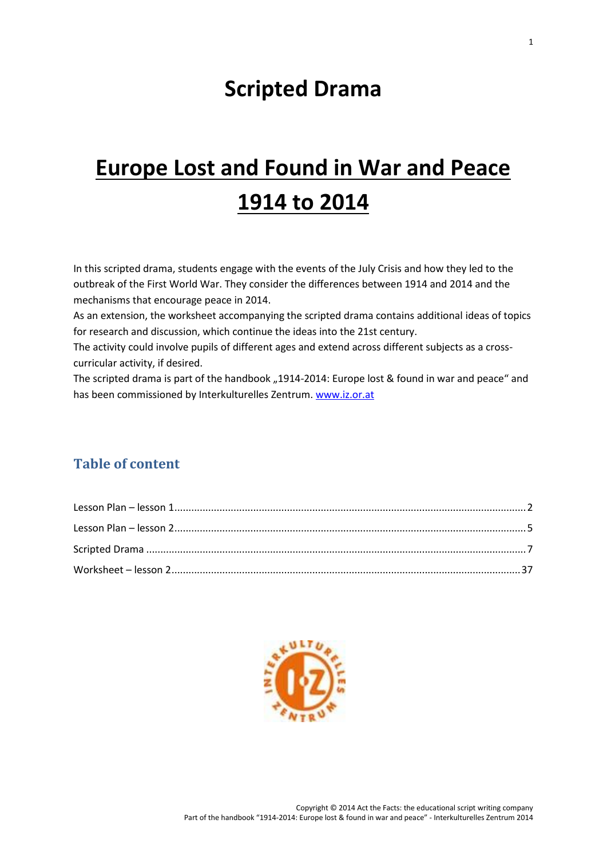# **Scripted Drama**

# **Europe Lost and Found in War and Peace 1914 to 2014**

In this scripted drama, students engage with the events of the July Crisis and how they led to the outbreak of the First World War. They consider the differences between 1914 and 2014 and the mechanisms that encourage peace in 2014.

As an extension, the worksheet accompanying the scripted drama contains additional ideas of topics for research and discussion, which continue the ideas into the 21st century.

The activity could involve pupils of different ages and extend across different subjects as a cross curricular activity, if desired.

The scripted drama is part of the handbook "1914-2014: Europe lost & found in war and peace" and has been commissioned by Interkulturelles Zentrum. www.iz.or.at

# **Table of content**

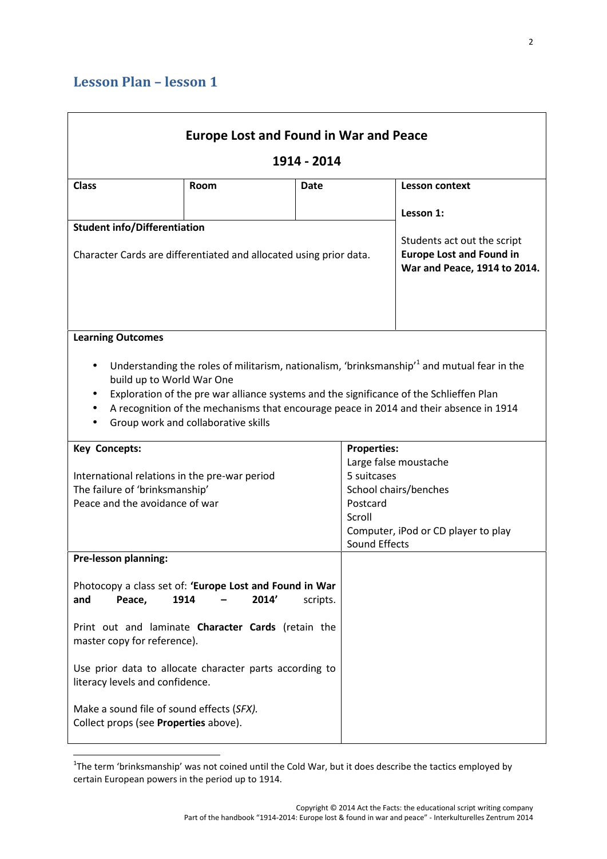|                                                                                                           | <b>Europe Lost and Found in War and Peace</b> |             |                         |                                                                                                                                                                                   |
|-----------------------------------------------------------------------------------------------------------|-----------------------------------------------|-------------|-------------------------|-----------------------------------------------------------------------------------------------------------------------------------------------------------------------------------|
| 1914 - 2014                                                                                               |                                               |             |                         |                                                                                                                                                                                   |
| <b>Class</b>                                                                                              | Room                                          | <b>Date</b> |                         | <b>Lesson context</b>                                                                                                                                                             |
|                                                                                                           |                                               |             |                         | Lesson 1:                                                                                                                                                                         |
| <b>Student info/Differentiation</b><br>Character Cards are differentiated and allocated using prior data. |                                               |             |                         | Students act out the script<br><b>Europe Lost and Found in</b><br>War and Peace, 1914 to 2014.                                                                                    |
| <b>Learning Outcomes</b>                                                                                  |                                               |             |                         | Understanding the roles of militarism, nationalism, 'brinksmanship' and mutual fear in the                                                                                        |
| build up to World War One                                                                                 | Group work and collaborative skills           |             |                         | Exploration of the pre war alliance systems and the significance of the Schlieffen Plan<br>A recognition of the mechanisms that encourage peace in 2014 and their absence in 1914 |
| <b>Key Concepts:</b>                                                                                      |                                               |             | <b>Properties:</b>      | Large false moustache                                                                                                                                                             |
| International relations in the pre-war period                                                             |                                               |             | 5 suitcases             |                                                                                                                                                                                   |
| The failure of 'brinksmanship'<br>Peace and the avoidance of war                                          |                                               |             | Postcard                | School chairs/benches                                                                                                                                                             |
|                                                                                                           |                                               |             | Scroll<br>Sound Effects | Computer, iPod or CD player to play                                                                                                                                               |
| Pre-lesson planning:                                                                                      |                                               |             |                         |                                                                                                                                                                                   |
| Photocopy a class set of: 'Europe Lost and Found in War<br>Peace,<br>and                                  | 1914<br>2014'                                 | scripts.    |                         |                                                                                                                                                                                   |
| Print out and laminate Character Cards (retain the<br>master copy for reference).                         |                                               |             |                         |                                                                                                                                                                                   |
| Use prior data to allocate character parts according to<br>literacy levels and confidence.                |                                               |             |                         |                                                                                                                                                                                   |
| Make a sound file of sound effects (SFX).<br>Collect props (see Properties above).                        |                                               |             |                         |                                                                                                                                                                                   |

<sup>&</sup>lt;sup>1</sup>The term 'brinksmanship' was not coined until the Cold War, but it does describe the tactics employed by certain European powers in the period up to 1914.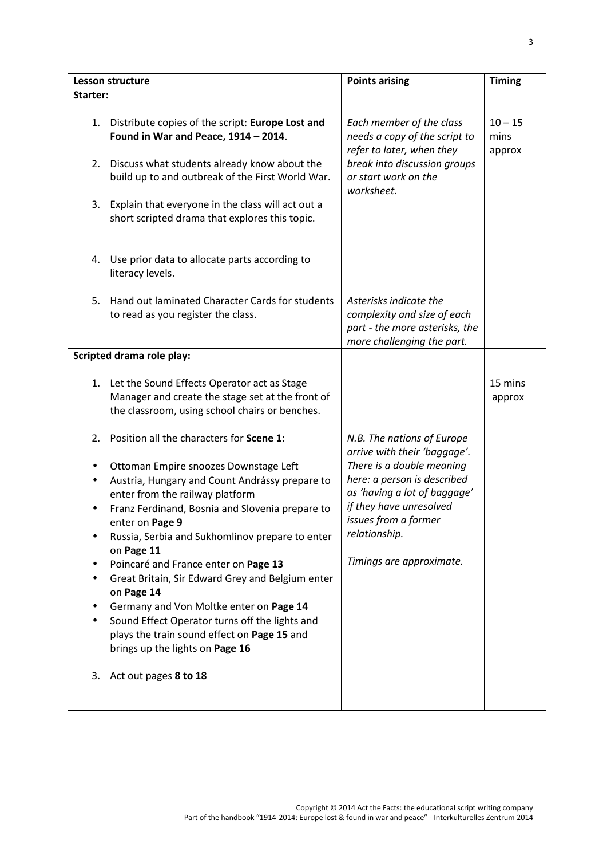|          | Lesson structure                                                                                                                                                                                                                                                  | <b>Points arising</b>                                                                                                                                        | <b>Timing</b>               |  |
|----------|-------------------------------------------------------------------------------------------------------------------------------------------------------------------------------------------------------------------------------------------------------------------|--------------------------------------------------------------------------------------------------------------------------------------------------------------|-----------------------------|--|
| Starter: |                                                                                                                                                                                                                                                                   |                                                                                                                                                              |                             |  |
| 2.       | 1. Distribute copies of the script: Europe Lost and<br>Found in War and Peace, 1914 - 2014.<br>Discuss what students already know about the<br>build up to and outbreak of the First World War.                                                                   | Each member of the class<br>needs a copy of the script to<br>refer to later, when they<br>break into discussion groups<br>or start work on the<br>worksheet. | $10 - 15$<br>mins<br>approx |  |
| 3.       | Explain that everyone in the class will act out a<br>short scripted drama that explores this topic.                                                                                                                                                               |                                                                                                                                                              |                             |  |
| 4.       | Use prior data to allocate parts according to<br>literacy levels.                                                                                                                                                                                                 |                                                                                                                                                              |                             |  |
| 5.       | Hand out laminated Character Cards for students<br>to read as you register the class.                                                                                                                                                                             | Asterisks indicate the<br>complexity and size of each<br>part - the more asterisks, the<br>more challenging the part.                                        |                             |  |
|          | <b>Scripted drama role play:</b>                                                                                                                                                                                                                                  |                                                                                                                                                              |                             |  |
|          | 1. Let the Sound Effects Operator act as Stage<br>Manager and create the stage set at the front of<br>the classroom, using school chairs or benches.                                                                                                              |                                                                                                                                                              | 15 mins<br>approx           |  |
| 2.       | Position all the characters for Scene 1:                                                                                                                                                                                                                          | N.B. The nations of Europe<br>arrive with their 'baggage'.                                                                                                   |                             |  |
| ٠        | Ottoman Empire snoozes Downstage Left<br>Austria, Hungary and Count Andrássy prepare to<br>enter from the railway platform<br>Franz Ferdinand, Bosnia and Slovenia prepare to<br>enter on Page 9<br>Russia, Serbia and Sukhomlinov prepare to enter<br>on Page 11 | There is a double meaning<br>here: a person is described<br>as 'having a lot of baggage'<br>if they have unresolved<br>issues from a former<br>relationship. |                             |  |
|          | Poincaré and France enter on Page 13<br>Great Britain, Sir Edward Grey and Belgium enter<br>on Page 14                                                                                                                                                            | Timings are approximate.                                                                                                                                     |                             |  |
|          | Germany and Von Moltke enter on Page 14<br>Sound Effect Operator turns off the lights and<br>plays the train sound effect on Page 15 and<br>brings up the lights on Page 16                                                                                       |                                                                                                                                                              |                             |  |
| 3.       | Act out pages 8 to 18                                                                                                                                                                                                                                             |                                                                                                                                                              |                             |  |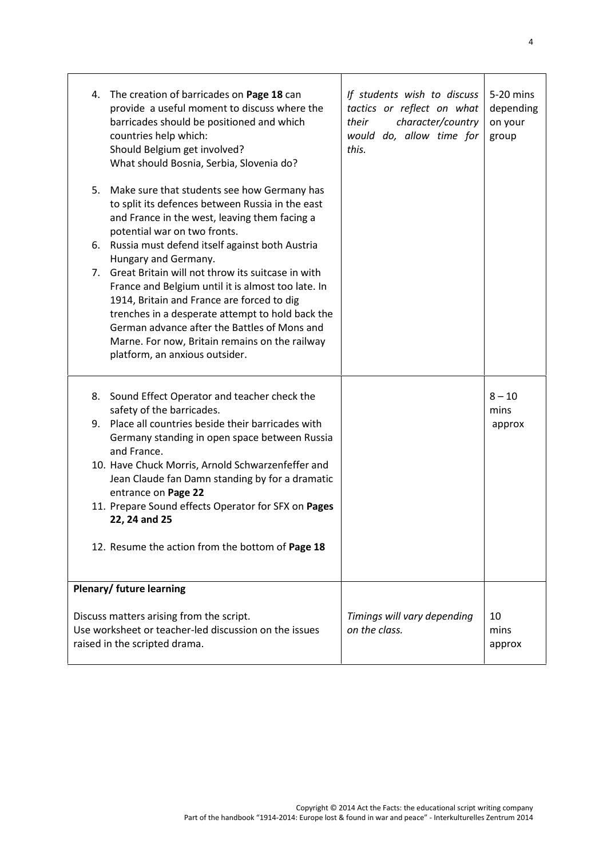|    | 4. The creation of barricades on Page 18 can<br>provide a useful moment to discuss where the<br>barricades should be positioned and which<br>countries help which:<br>Should Belgium get involved?<br>What should Bosnia, Serbia, Slovenia do?                                                                                                                           | If students wish to discuss<br>tactics or reflect on what<br>their<br>character/country<br>would do, allow time for<br>this. | 5-20 mins<br>depending<br>on your<br>group |  |
|----|--------------------------------------------------------------------------------------------------------------------------------------------------------------------------------------------------------------------------------------------------------------------------------------------------------------------------------------------------------------------------|------------------------------------------------------------------------------------------------------------------------------|--------------------------------------------|--|
| 5. | Make sure that students see how Germany has<br>to split its defences between Russia in the east<br>and France in the west, leaving them facing a<br>potential war on two fronts.                                                                                                                                                                                         |                                                                                                                              |                                            |  |
|    | 6. Russia must defend itself against both Austria                                                                                                                                                                                                                                                                                                                        |                                                                                                                              |                                            |  |
|    | Hungary and Germany.<br>7. Great Britain will not throw its suitcase in with<br>France and Belgium until it is almost too late. In<br>1914, Britain and France are forced to dig<br>trenches in a desperate attempt to hold back the<br>German advance after the Battles of Mons and<br>Marne. For now, Britain remains on the railway<br>platform, an anxious outsider. |                                                                                                                              |                                            |  |
|    | 8. Sound Effect Operator and teacher check the<br>safety of the barricades.                                                                                                                                                                                                                                                                                              |                                                                                                                              | $8 - 10$<br>mins                           |  |
|    | 9. Place all countries beside their barricades with<br>Germany standing in open space between Russia<br>and France.                                                                                                                                                                                                                                                      |                                                                                                                              | approx                                     |  |
|    | 10. Have Chuck Morris, Arnold Schwarzenfeffer and<br>Jean Claude fan Damn standing by for a dramatic<br>entrance on Page 22                                                                                                                                                                                                                                              |                                                                                                                              |                                            |  |
|    | 11. Prepare Sound effects Operator for SFX on Pages<br>22, 24 and 25                                                                                                                                                                                                                                                                                                     |                                                                                                                              |                                            |  |
|    | 12. Resume the action from the bottom of Page 18                                                                                                                                                                                                                                                                                                                         |                                                                                                                              |                                            |  |
|    | Plenary/ future learning                                                                                                                                                                                                                                                                                                                                                 |                                                                                                                              |                                            |  |
|    | Discuss matters arising from the script.<br>Use worksheet or teacher-led discussion on the issues<br>raised in the scripted drama.                                                                                                                                                                                                                                       | Timings will vary depending<br>on the class.                                                                                 | 10<br>mins<br>approx                       |  |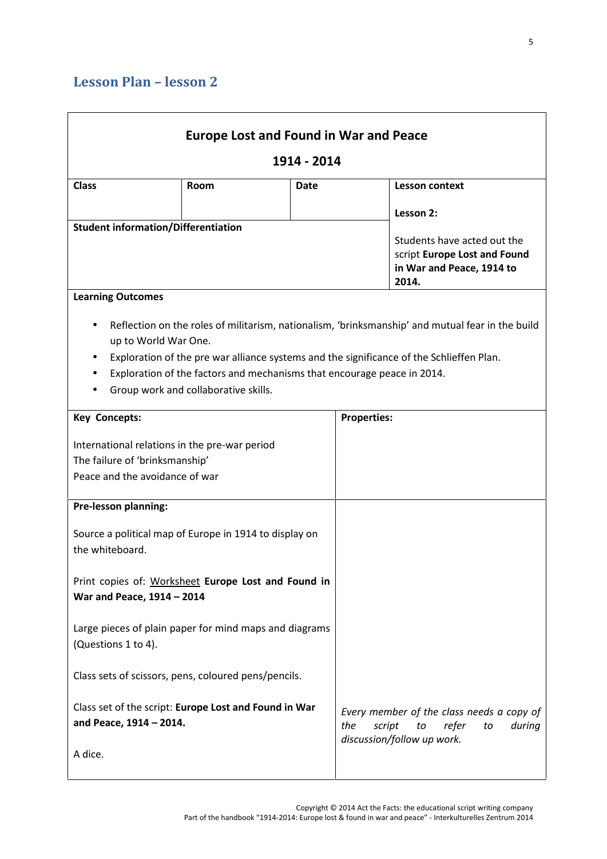| <b>Class</b><br>Room                                                                                              |      |                                                                                                                                                                                                                                                                         |
|-------------------------------------------------------------------------------------------------------------------|------|-------------------------------------------------------------------------------------------------------------------------------------------------------------------------------------------------------------------------------------------------------------------------|
|                                                                                                                   | Date | <b>Lesson context</b>                                                                                                                                                                                                                                                   |
|                                                                                                                   |      | Lesson 2:                                                                                                                                                                                                                                                               |
| <b>Student information/Differentiation</b>                                                                        |      | Students have acted out the<br>script Europe Lost and Found<br>in War and Peace, 1914 to<br>2014.                                                                                                                                                                       |
| <b>Learning Outcomes</b><br>up to World War One.<br>Group work and collaborative skills.                          |      | Reflection on the roles of militarism, nationalism, 'brinksmanship' and mutual fear in the build<br>Exploration of the pre war alliance systems and the significance of the Schlieffen Plan.<br>Exploration of the factors and mechanisms that encourage peace in 2014. |
| <b>Key Concepts:</b>                                                                                              |      | <b>Properties:</b>                                                                                                                                                                                                                                                      |
| International relations in the pre-war period<br>The failure of 'brinksmanship'<br>Peace and the avoidance of war |      |                                                                                                                                                                                                                                                                         |
| <b>Pre-lesson planning:</b>                                                                                       |      |                                                                                                                                                                                                                                                                         |
| Source a political map of Europe in 1914 to display on<br>the whiteboard.                                         |      |                                                                                                                                                                                                                                                                         |
| Print copies of: Worksheet Europe Lost and Found in<br>War and Peace, 1914 - 2014                                 |      |                                                                                                                                                                                                                                                                         |
| Large pieces of plain paper for mind maps and diagrams<br>(Questions 1 to 4).                                     |      |                                                                                                                                                                                                                                                                         |
| Class sets of scissors, pens, coloured pens/pencils.                                                              |      |                                                                                                                                                                                                                                                                         |
| Class set of the script: Europe Lost and Found in War                                                             |      | Every member of the class needs a copy of<br>refer<br>the<br>script<br>to<br>during<br>to                                                                                                                                                                               |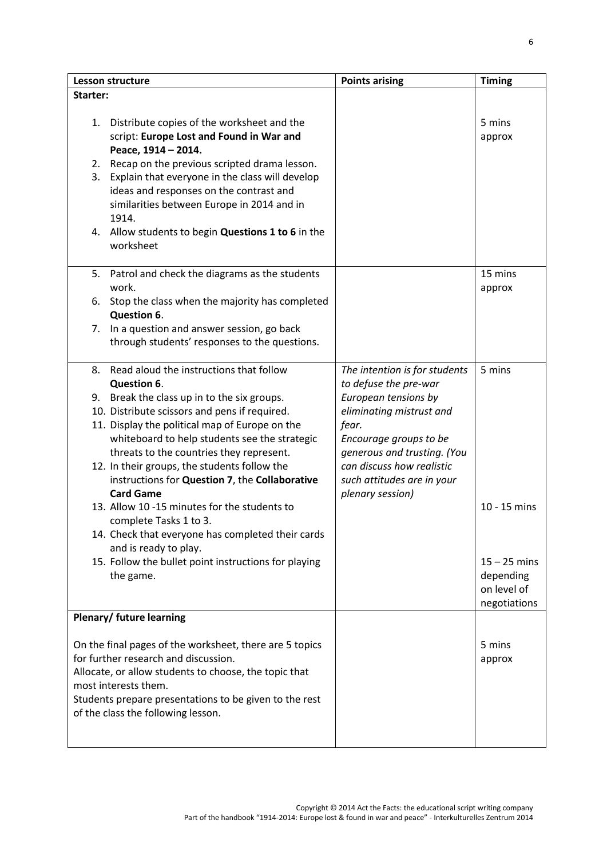| Lesson structure |                                                                                               | <b>Points arising</b>                            | <b>Timing</b>               |  |
|------------------|-----------------------------------------------------------------------------------------------|--------------------------------------------------|-----------------------------|--|
| Starter:         |                                                                                               |                                                  |                             |  |
|                  | 1. Distribute copies of the worksheet and the<br>script: Europe Lost and Found in War and     |                                                  | 5 mins<br>approx            |  |
|                  | Peace, 1914 - 2014.                                                                           |                                                  |                             |  |
|                  | 2. Recap on the previous scripted drama lesson.                                               |                                                  |                             |  |
| 3.               | Explain that everyone in the class will develop<br>ideas and responses on the contrast and    |                                                  |                             |  |
|                  | similarities between Europe in 2014 and in                                                    |                                                  |                             |  |
|                  | 1914.                                                                                         |                                                  |                             |  |
|                  | 4. Allow students to begin Questions 1 to 6 in the<br>worksheet                               |                                                  |                             |  |
| 5.               | Patrol and check the diagrams as the students                                                 |                                                  | 15 mins                     |  |
|                  | work.                                                                                         |                                                  | approx                      |  |
|                  | 6. Stop the class when the majority has completed<br>Question 6.                              |                                                  |                             |  |
|                  | 7. In a question and answer session, go back<br>through students' responses to the questions. |                                                  |                             |  |
|                  |                                                                                               |                                                  |                             |  |
|                  | 8. Read aloud the instructions that follow                                                    | The intention is for students                    | 5 mins                      |  |
|                  | Question 6.                                                                                   | to defuse the pre-war                            |                             |  |
|                  | 9. Break the class up in to the six groups.<br>10. Distribute scissors and pens if required.  | European tensions by<br>eliminating mistrust and |                             |  |
|                  | 11. Display the political map of Europe on the                                                | fear.                                            |                             |  |
|                  | whiteboard to help students see the strategic                                                 | Encourage groups to be                           |                             |  |
|                  | threats to the countries they represent.                                                      | generous and trusting. (You                      |                             |  |
|                  | 12. In their groups, the students follow the                                                  | can discuss how realistic                        |                             |  |
|                  | instructions for Question 7, the Collaborative<br><b>Card Game</b>                            | such attitudes are in your<br>plenary session)   |                             |  |
|                  | 13. Allow 10 -15 minutes for the students to                                                  |                                                  | 10 - 15 mins                |  |
|                  | complete Tasks 1 to 3.                                                                        |                                                  |                             |  |
|                  | 14. Check that everyone has completed their cards<br>and is ready to play.                    |                                                  |                             |  |
|                  | 15. Follow the bullet point instructions for playing                                          |                                                  | $15 - 25$ mins              |  |
|                  | the game.                                                                                     |                                                  | depending                   |  |
|                  |                                                                                               |                                                  | on level of<br>negotiations |  |
|                  | <b>Plenary/ future learning</b>                                                               |                                                  |                             |  |
|                  |                                                                                               |                                                  |                             |  |
|                  | On the final pages of the worksheet, there are 5 topics                                       |                                                  | 5 mins                      |  |
|                  | for further research and discussion.<br>Allocate, or allow students to choose, the topic that |                                                  | approx                      |  |
|                  | most interests them.                                                                          |                                                  |                             |  |
|                  | Students prepare presentations to be given to the rest                                        |                                                  |                             |  |
|                  | of the class the following lesson.                                                            |                                                  |                             |  |
|                  |                                                                                               |                                                  |                             |  |
|                  |                                                                                               |                                                  |                             |  |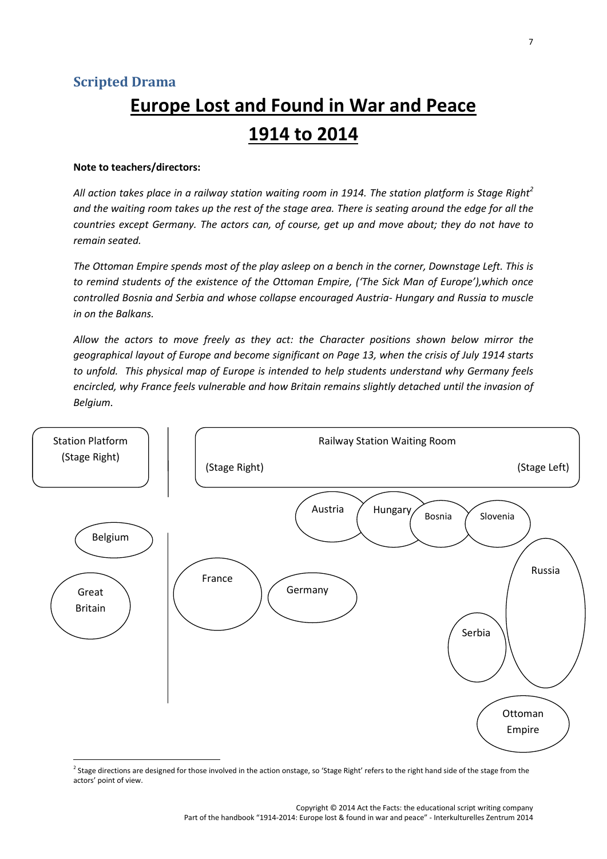# **Europe Lost and Found in War and Peace 1914 to 2014**

#### **Note to teachers/directors:**

*All action takes place in a railway station waiting room in 1914. The station platform is Stage Right<sup>2</sup> and the waiting room takes up the rest of the stage area. There is seating around the edge for all the countries except Germany. The actors can, of course, get up and move about; they do not have to remain seated.*

*The Ottoman Empire spends most of the play asleep on a bench in the corner, Downstage Left. This is to remind students of the existence of the Ottoman Empire, ('The Sick Man of Europe'),which once controlled Bosnia and Serbia and whose collapse encouraged Austria- Hungary and Russia to muscle in on the Balkans.*

*Allow the actors to move freely as they act: the Character positions shown below mirror the geographical layout of Europe and become significant on Page 13, when the crisis of July 1914 starts to unfold. This physical map of Europe is intended to help students understand why Germany feels encircled, why France feels vulnerable and how Britain remains slightly detached until the invasion of Belgium.*



<sup>&</sup>lt;sup>2</sup> Stage directions are designed for those involved in the action onstage, so 'Stage Right' refers to the right hand side of the stage from the actors' point of view.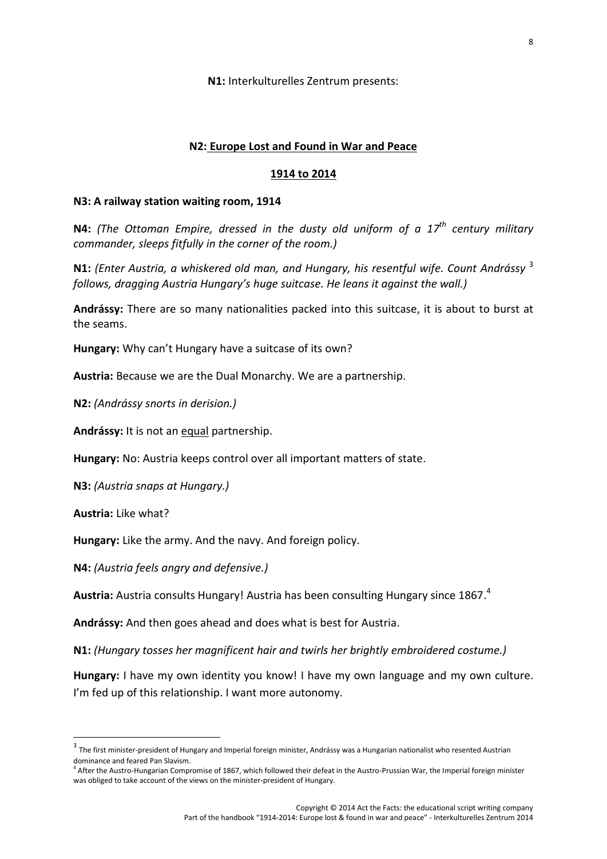**N1:** Interkulturelles Zentrum presents:

#### **N2: Europe Lost and Found in War and Peace**

#### **1914 to 2014**

#### **N3: A railway station waiting room, 1914**

**N4:** *(The Ottoman Empire, dressed in the dusty old uniform of a 17th century military commander, sleeps fitfully in the corner of the room.)*

**N1:** *(Enter Austria, a whiskered old man, and Hungary, his resentful wife. Count Andrássy* <sup>3</sup> *follows, dragging Austria Hungary's huge suitcase. He leans it against the wall.)*

**Andrássy:** There are so many nationalities packed into this suitcase, it is about to burst at the seams.

**Hungary:** Why can't Hungary have a suitcase of its own?

**Austria:** Because we are the Dual Monarchy. We are a partnership.

**N2:** *(Andrássy snorts in derision.)*

**Andrássy:** It is not an equal partnership.

**Hungary:** No: Austria keeps control over all important matters of state.

**N3:** *(Austria snaps at Hungary.)*

**Austria:** Like what?

**Hungary:** Like the army. And the navy. And foreign policy.

**N4:** *(Austria feels angry and defensive.)*

**Austria:** Austria consults Hungary! Austria has been consulting Hungary since 1867.<sup>4</sup>

**Andrássy:** And then goes ahead and does what is best for Austria.

**N1:** *(Hungary tosses her magnificent hair and twirls her brightly embroidered costume.)*

**Hungary:** I have my own identity you know! I have my own language and my own culture. I'm fed up of this relationship. I want more autonomy.

 $3$  The first minister-president of Hungary and Imperial foreign minister, Andrássy was a Hungarian nationalist who resented Austrian dominance and feared Pan Slavism.<br><sup>4</sup> After the Austro-Hungarian Compromise of 1867, which followed their defeat in the Austro-Prussian War, the Imperial foreign minister

was obliged to take account of the views on the minister-president of Hungary.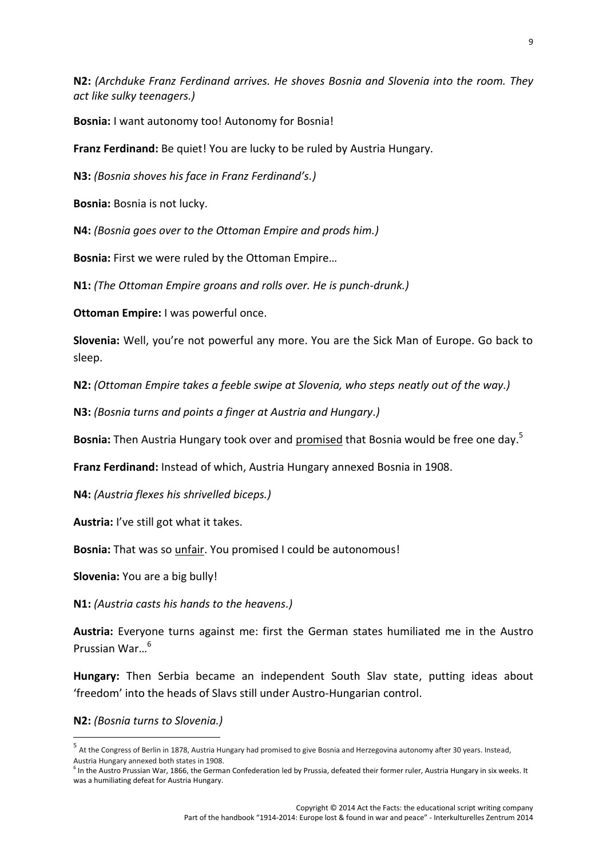**N2:** *(Archduke Franz Ferdinand arrives. He shoves Bosnia and Slovenia into the room. They act like sulky teenagers.)*

**Bosnia:** I want autonomy too! Autonomy for Bosnia!

**Franz Ferdinand:** Be quiet! You are lucky to be ruled by Austria Hungary.

**N3:** *(Bosnia shoves his face in Franz Ferdinand's.)*

**Bosnia:** Bosnia is not lucky.

**N4:** *(Bosnia goes over to the Ottoman Empire and prods him.)*

**Bosnia:** First we were ruled by the Ottoman Empire…

**N1:** *(The Ottoman Empire groans and rolls over. He is punch-drunk.)*

**Ottoman Empire:** I was powerful once.

**Slovenia:** Well, you're not powerful any more. You are the Sick Man of Europe. Go back to sleep.

**N2:** *(Ottoman Empire takes a feeble swipe at Slovenia, who steps neatly out of the way.)*

**N3:** *(Bosnia turns and points a finger at Austria and Hungary.)*

**Bosnia:** Then Austria Hungary took over and promised that Bosnia would be free one day.<sup>5</sup>

**Franz Ferdinand:** Instead of which, Austria Hungary annexed Bosnia in 1908.

**N4:** *(Austria flexes his shrivelled biceps.)*

**Austria:** I've still got what it takes.

**Bosnia:** That was so unfair. You promised I could be autonomous!

**Slovenia:** You are a big bully!

**N1:** *(Austria casts his hands to the heavens.)*

**Austria:** Everyone turns against me: first the German states humiliated me in the Austro Prussian War…<sup>6</sup>

**Hungary:** Then Serbia became an independent South Slav state, putting ideas about 'freedom' into the heads of Slavs still under Austro-Hungarian control.

**N2:** *(Bosnia turns to Slovenia.)*

<sup>5</sup> At the Congress of Berlin in 1878, Austria Hungary had promised to give Bosnia and Herzegovina autonomy after 30 years. Instead, Austria Hungary annexed both states in 1908.

 $<sup>6</sup>$  In the Austro Prussian War, 1866, the German Confederation led by Prussia, defeated their former ruler, Austria Hungary in six weeks. It</sup> was a humiliating defeat for Austria Hungary.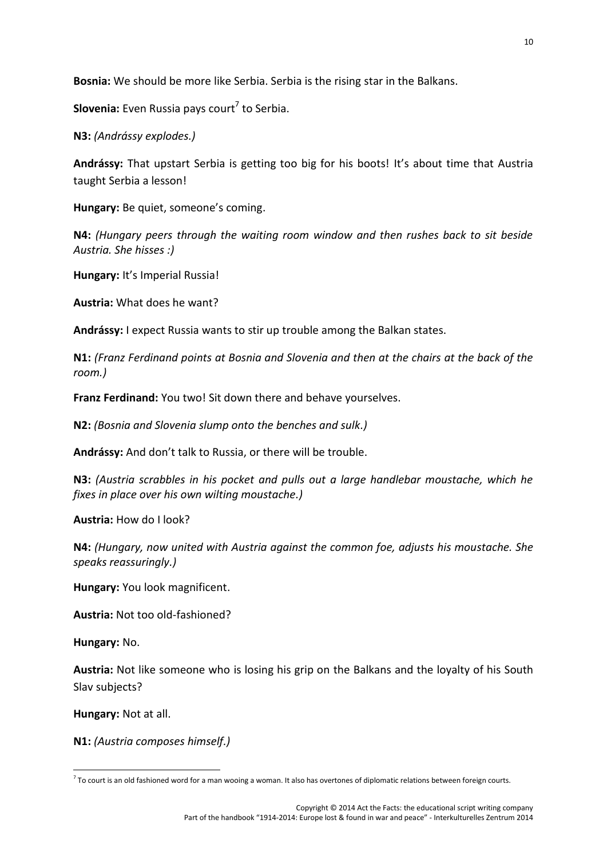**Bosnia:** We should be more like Serbia. Serbia is the rising star in the Balkans.

**Slovenia:** Even Russia pays court<sup>7</sup> to Serbia.

**N3:** *(Andrássy explodes.)*

**Andrássy:** That upstart Serbia is getting too big for his boots! It's about time that Austria taught Serbia a lesson!

**Hungary:** Be quiet, someone's coming.

**N4:** *(Hungary peers through the waiting room window and then rushes back to sit beside Austria. She hisses :)*

**Hungary:** It's Imperial Russia!

**Austria:** What does he want?

**Andrássy:** I expect Russia wants to stir up trouble among the Balkan states.

**N1:** *(Franz Ferdinand points at Bosnia and Slovenia and then at the chairs at the back of the room.)*

**Franz Ferdinand:** You two! Sit down there and behave yourselves.

**N2:** *(Bosnia and Slovenia slump onto the benches and sulk.)*

**Andrássy:** And don't talk to Russia, or there will be trouble.

**N3:** *(Austria scrabbles in his pocket and pulls out a large handlebar moustache, which he fixes in place over his own wilting moustache.)*

**Austria:** How do I look?

**N4:** *(Hungary, now united with Austria against the common foe, adjusts his moustache. She speaks reassuringly.)*

**Hungary:** You look magnificent.

**Austria:** Not too old-fashioned?

**Hungary:** No.

**Austria:** Not like someone who is losing his grip on the Balkans and the loyalty of his South Slav subjects?

**Hungary:** Not at all.

**N1:** *(Austria composes himself.)*

 $^7$  To court is an old fashioned word for a man wooing a woman. It also has overtones of diplomatic relations between foreign courts.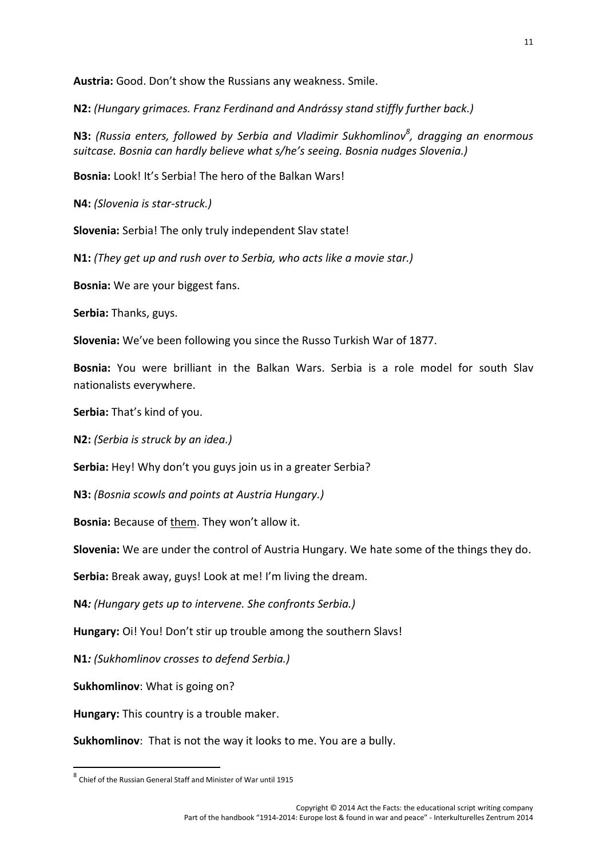**Austria:** Good. Don't show the Russians any weakness. Smile.

**N2:** *(Hungary grimaces. Franz Ferdinand and Andrássy stand stiffly further back.)*

**N3:** *(Russia enters, followed by Serbia and Vladimir Sukhomlinov<sup>8</sup> , dragging an enormous suitcase. Bosnia can hardly believe what s/he's seeing. Bosnia nudges Slovenia.)*

**Bosnia:** Look! It's Serbia! The hero of the Balkan Wars!

**N4:** *(Slovenia is star-struck.)*

**Slovenia:** Serbia! The only truly independent Slav state!

**N1:** *(They get up and rush over to Serbia, who acts like a movie star.)*

**Bosnia:** We are your biggest fans.

**Serbia:** Thanks, guys.

**Slovenia:** We've been following you since the Russo Turkish War of 1877.

**Bosnia:** You were brilliant in the Balkan Wars. Serbia is a role model for south Slav nationalists everywhere.

**Serbia:** That's kind of you.

**N2:** *(Serbia is struck by an idea.)*

**Serbia:** Hey! Why don't you guys join us in a greater Serbia?

**N3:** *(Bosnia scowls and points at Austria Hungary.)*

**Bosnia:** Because of them. They won't allow it.

**Slovenia:** We are under the control of Austria Hungary. We hate some of the things they do.

**Serbia:** Break away, guys! Look at me! I'm living the dream.

**N4***: (Hungary gets up to intervene. She confronts Serbia.)*

**Hungary:** Oi! You! Don't stir up trouble among the southern Slavs!

**N1***: (Sukhomlinov crosses to defend Serbia.)*

**Sukhomlinov**: What is going on?

**Hungary:** This country is a trouble maker.

**Sukhomlinov**: That is not the way it looks to me. You are a bully.

<sup>8</sup> Chief of the Russian General Staff and Minister of War until 1915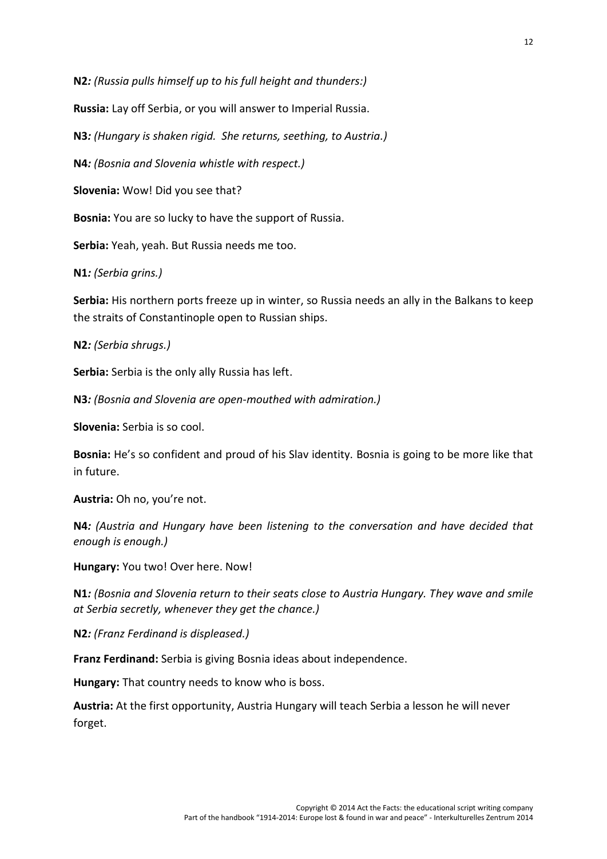**N2***: (Russia pulls himself up to his full height and thunders:)*

**Russia:** Lay off Serbia, or you will answer to Imperial Russia.

**N3***: (Hungary is shaken rigid. She returns, seething, to Austria.)*

**N4***: (Bosnia and Slovenia whistle with respect.)*

**Slovenia:** Wow! Did you see that?

**Bosnia:** You are so lucky to have the support of Russia.

**Serbia:** Yeah, yeah. But Russia needs me too.

**N1***: (Serbia grins.)*

**Serbia:** His northern ports freeze up in winter, so Russia needs an ally in the Balkans to keep the straits of Constantinople open to Russian ships.

**N2***: (Serbia shrugs.)*

**Serbia:** Serbia is the only ally Russia has left.

**N3***: (Bosnia and Slovenia are open-mouthed with admiration.)*

**Slovenia:** Serbia is so cool.

**Bosnia:** He's so confident and proud of his Slav identity. Bosnia is going to be more like that in future.

**Austria:** Oh no, you're not.

**N4***: (Austria and Hungary have been listening to the conversation and have decided that enough is enough.)*

**Hungary:** You two! Over here. Now!

**N1***: (Bosnia and Slovenia return to their seats close to Austria Hungary. They wave and smile at Serbia secretly, whenever they get the chance.)*

**N2***: (Franz Ferdinand is displeased.)*

**Franz Ferdinand:** Serbia is giving Bosnia ideas about independence.

**Hungary:** That country needs to know who is boss.

**Austria:** At the first opportunity, Austria Hungary will teach Serbia a lesson he will never forget.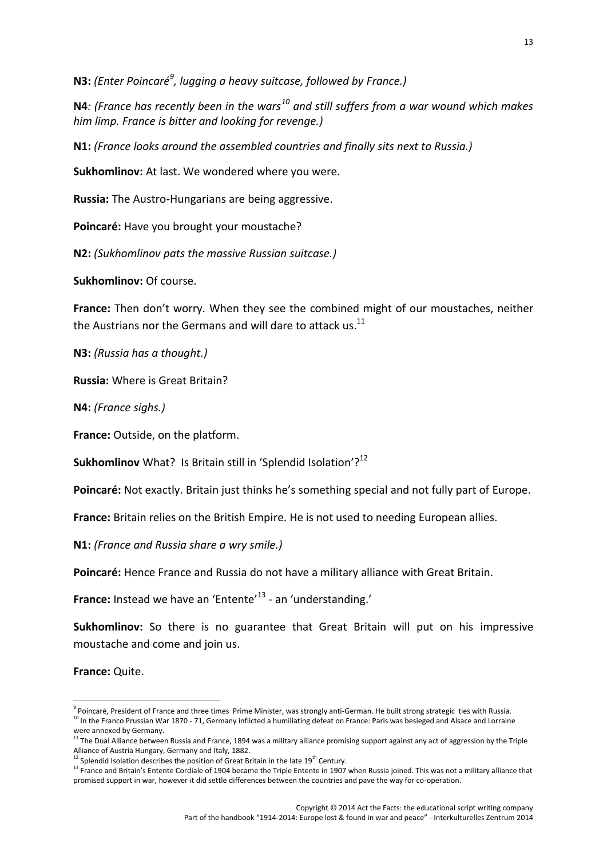**N3:** *(Enter Poincaré<sup>9</sup> , lugging a heavy suitcase, followed by France.)*

**N4***: (France has recently been in the wars<sup>10</sup> and still suffers from a war wound which makes him limp. France is bitter and looking for revenge.)*

**N1:** *(France looks around the assembled countries and finally sits next to Russia.)*

**Sukhomlinov:** At last. We wondered where you were.

**Russia:** The Austro-Hungarians are being aggressive.

**Poincaré:** Have you brought your moustache?

**N2:** *(Sukhomlinov pats the massive Russian suitcase.)*

**Sukhomlinov:** Of course.

**France:** Then don't worry. When they see the combined might of our moustaches, neither the Austrians nor the Germans and will dare to attack us. $^{11}$ 

**N3:** *(Russia has a thought.)*

**Russia:** Where is Great Britain?

**N4:** *(France sighs.)*

**France:** Outside, on the platform.

**Sukhomlinov** What? Is Britain still in 'Splendid Isolation'?<sup>12</sup>

**Poincaré:** Not exactly. Britain just thinks he's something special and not fully part of Europe.

**France:** Britain relies on the British Empire. He is not used to needing European allies.

**N1:** *(France and Russia share a wry smile.)*

**Poincaré:** Hence France and Russia do not have a military alliance with Great Britain.

**France:** Instead we have an 'Entente'<sup>13</sup> - an 'understanding.'

**Sukhomlinov:** So there is no guarantee that Great Britain will put on his impressive moustache and come and join us.

**France:** Quite.

 $^9$  Poincaré, President of France and three times Prime Minister, was strongly anti-German. He built strong strategic ties with Russia.<br><sup>10</sup> In the Franco Prussian War 1870 - 71, Germany inflicted a humiliating defeat on

were annexed by Germany.<br><sup>11</sup> The Dual Alliance between Russia and France, 1894 was a military alliance promising support against any act of aggression by the Triple Alliance of Austria Hungary, Germany and Italy, 1882.<br><sup>12</sup> Splendid Isolation describes the position of Great Britain in the late 19<sup>th</sup> Century.

<sup>&</sup>lt;sup>13</sup> France and Britain's Entente Cordiale of 1904 became the Triple Entente in 1907 when Russia joined. This was not a military alliance that promised support in war, however it did settle differences between the countries and pave the way for co-operation.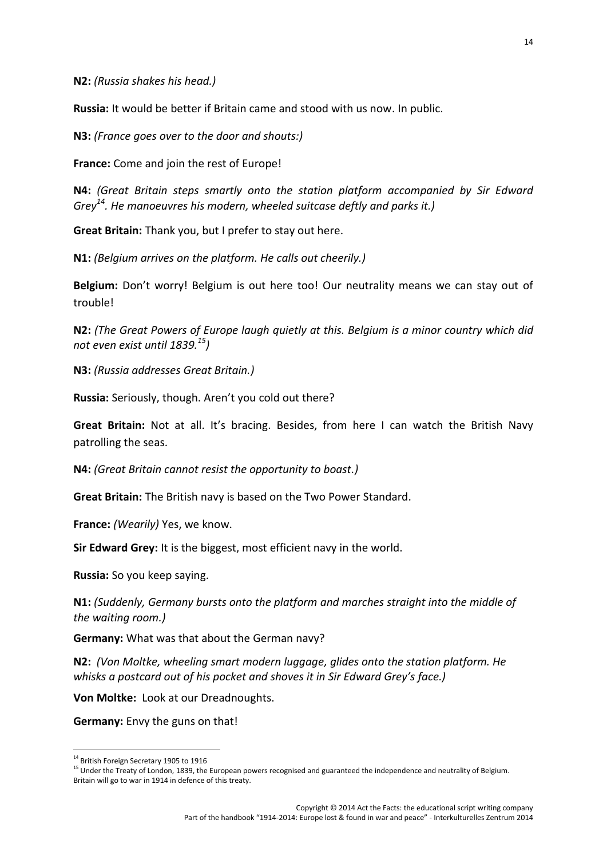**N2:** *(Russia shakes his head.)*

**Russia:** It would be better if Britain came and stood with us now. In public.

**N3:** *(France goes over to the door and shouts:)*

**France:** Come and join the rest of Europe!

**N4:** *(Great Britain steps smartly onto the station platform accompanied by Sir Edward Grey<sup>14</sup>. He manoeuvres his modern, wheeled suitcase deftly and parks it.)*

**Great Britain:** Thank you, but I prefer to stay out here.

**N1:** *(Belgium arrives on the platform. He calls out cheerily.)*

**Belgium:** Don't worry! Belgium is out here too! Our neutrality means we can stay out of trouble!

**N2:** *(The Great Powers of Europe laugh quietly at this. Belgium is a minor country which did not even exist until 1839.<sup>15</sup>)*

**N3:** *(Russia addresses Great Britain.)*

**Russia:** Seriously, though. Aren't you cold out there?

**Great Britain:** Not at all. It's bracing. Besides, from here I can watch the British Navy patrolling the seas.

**N4:** *(Great Britain cannot resist the opportunity to boast.)*

**Great Britain:** The British navy is based on the Two Power Standard.

**France:** *(Wearily)* Yes, we know.

**Sir Edward Grey:** It is the biggest, most efficient navy in the world.

**Russia:** So you keep saying.

**N1:** *(Suddenly, Germany bursts onto the platform and marches straight into the middle of the waiting room.)*

**Germany:** What was that about the German navy?

**N2:** *(Von Moltke, wheeling smart modern luggage, glides onto the station platform. He whisks a postcard out of his pocket and shoves it in Sir Edward Grey's face.)*

**Von Moltke:** Look at our Dreadnoughts.

**Germany:** Envy the guns on that!

<sup>&</sup>lt;sup>14</sup> British Foreign Secretary 1905 to 1916

<sup>&</sup>lt;sup>15</sup> Under the Treaty of London, 1839, the European powers recognised and guaranteed the independence and neutrality of Belgium. Britain will go to war in 1914 in defence of this treaty.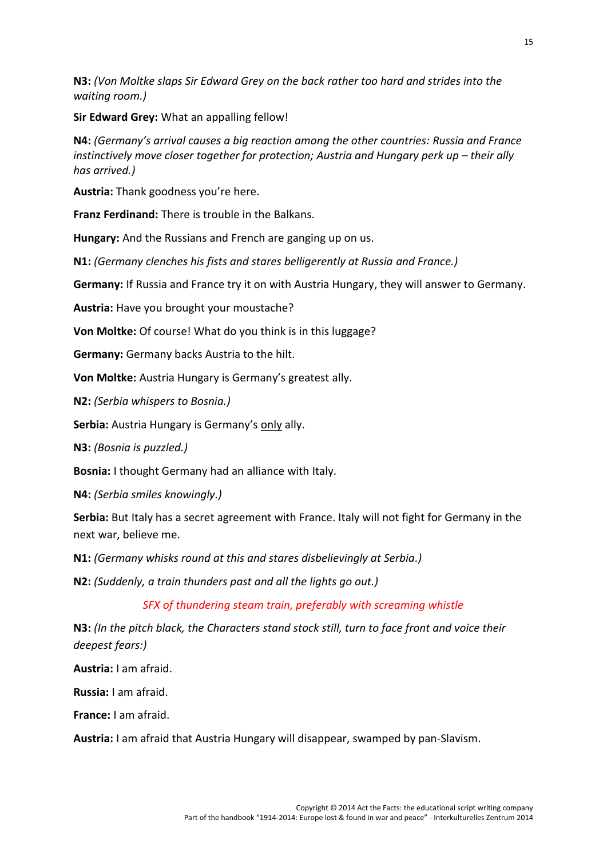**N3:** *(Von Moltke slaps Sir Edward Grey on the back rather too hard and strides into the waiting room.)*

**Sir Edward Grey:** What an appalling fellow!

**N4:** *(Germany's arrival causes a big reaction among the other countries: Russia and France instinctively move closer together for protection; Austria and Hungary perk up – their ally has arrived.)*

**Austria:** Thank goodness you're here.

**Franz Ferdinand:** There is trouble in the Balkans.

**Hungary:** And the Russians and French are ganging up on us.

**N1:** *(Germany clenches his fists and stares belligerently at Russia and France.)*

**Germany:** If Russia and France try it on with Austria Hungary, they will answer to Germany.

**Austria:** Have you brought your moustache?

**Von Moltke:** Of course! What do you think is in this luggage?

**Germany:** Germany backs Austria to the hilt.

**Von Moltke:** Austria Hungary is Germany's greatest ally.

**N2:** *(Serbia whispers to Bosnia.)*

**Serbia:** Austria Hungary is Germany's only ally.

**N3:** *(Bosnia is puzzled.)*

**Bosnia:** I thought Germany had an alliance with Italy.

**N4:** *(Serbia smiles knowingly.)*

**Serbia:** But Italy has a secret agreement with France. Italy will not fight for Germany in the next war, believe me.

**N1:** *(Germany whisks round at this and stares disbelievingly at Serbia.)*

**N2:** *(Suddenly, a train thunders past and all the lights go out.)*

*SFX of thundering steam train, preferably with screaming whistle*

**N3:** *(In the pitch black, the Characters stand stock still, turn to face front and voice their deepest fears:)*

**Austria:** I am afraid.

**Russia:** I am afraid.

**France:** I am afraid.

**Austria:** I am afraid that Austria Hungary will disappear, swamped by pan-Slavism.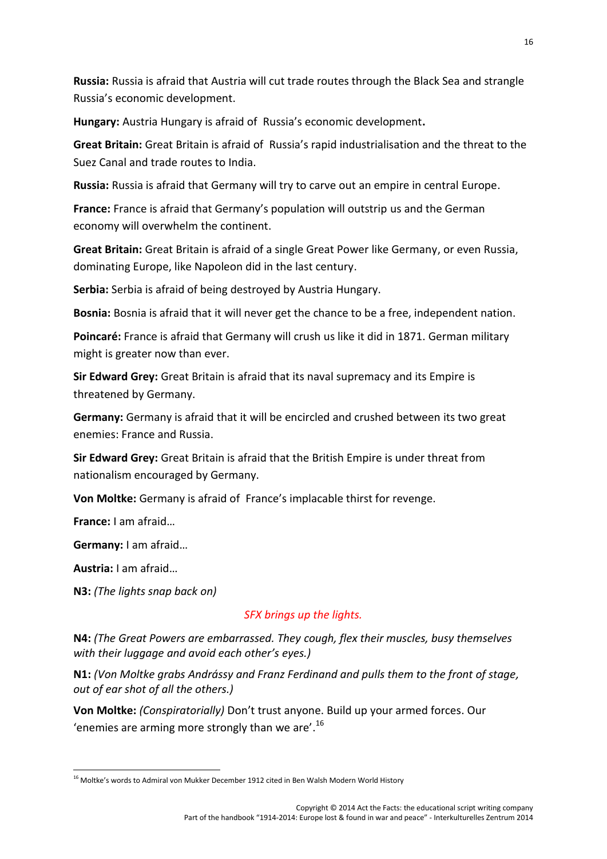**Russia:** Russia is afraid that Austria will cut trade routes through the Black Sea and strangle Russia's economic development.

**Hungary:** Austria Hungary is afraid of Russia's economic development**.**

**Great Britain:** Great Britain is afraid of Russia's rapid industrialisation and the threat to the Suez Canal and trade routes to India.

**Russia:** Russia is afraid that Germany will try to carve out an empire in central Europe.

**France:** France is afraid that Germany's population will outstrip us and the German economy will overwhelm the continent.

**Great Britain:** Great Britain is afraid of a single Great Power like Germany, or even Russia, dominating Europe, like Napoleon did in the last century.

**Serbia:** Serbia is afraid of being destroyed by Austria Hungary.

**Bosnia:** Bosnia is afraid that it will never get the chance to be a free, independent nation.

**Poincaré:** France is afraid that Germany will crush us like it did in 1871. German military might is greater now than ever.

**Sir Edward Grey:** Great Britain is afraid that its naval supremacy and its Empire is threatened by Germany.

**Germany:** Germany is afraid that it will be encircled and crushed between its two great enemies: France and Russia.

**Sir Edward Grey:** Great Britain is afraid that the British Empire is under threat from nationalism encouraged by Germany.

**Von Moltke:** Germany is afraid of France's implacable thirst for revenge.

**France:** I am afraid…

**Germany:** I am afraid…

**Austria:** I am afraid…

**N3:** *(The lights snap back on)*

#### *SFX brings up the lights.*

**N4:** *(The Great Powers are embarrassed. They cough, flex their muscles, busy themselves with their luggage and avoid each other's eyes.)*

**N1:** *(Von Moltke grabs Andrássy and Franz Ferdinand and pulls them to the front of stage, out of ear shot of all the others.)*

**Von Moltke:** *(Conspiratorially)* Don't trust anyone. Build up your armed forces. Our 'enemies are arming more strongly than we are'. $^{16}$ 

<sup>&</sup>lt;sup>16</sup> Moltke's words to Admiral von Mukker December 1912 cited in Ben Walsh Modern World History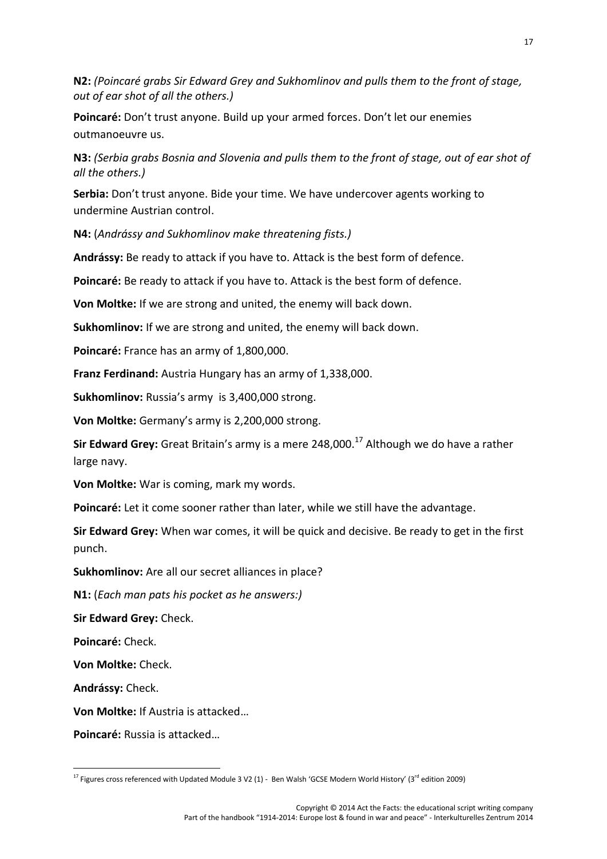**N2:** *(Poincaré grabs Sir Edward Grey and Sukhomlinov and pulls them to the front of stage, out of ear shot of all the others.)*

**Poincaré:** Don't trust anyone. Build up your armed forces. Don't let our enemies outmanoeuvre us.

**N3:** *(Serbia grabs Bosnia and Slovenia and pulls them to the front of stage, out of ear shot of all the others.)*

**Serbia:** Don't trust anyone. Bide your time. We have undercover agents working to undermine Austrian control.

**N4:** (*Andrássy and Sukhomlinov make threatening fists.)*

**Andrássy:** Be ready to attack if you have to. Attack is the best form of defence.

**Poincaré:** Be ready to attack if you have to. Attack is the best form of defence.

**Von Moltke:** If we are strong and united, the enemy will back down.

**Sukhomlinov:** If we are strong and united, the enemy will back down.

**Poincaré:** France has an army of 1,800,000.

**Franz Ferdinand:** Austria Hungary has an army of 1,338,000.

**Sukhomlinov:** Russia's army is 3,400,000 strong.

**Von Moltke:** Germany's army is 2,200,000 strong.

**Sir Edward Grey:** Great Britain's army is a mere 248,000.<sup>17</sup> Although we do have a rather large navy.

**Von Moltke:** War is coming, mark my words.

**Poincaré:** Let it come sooner rather than later, while we still have the advantage.

**Sir Edward Grey:** When war comes, it will be quick and decisive. Be ready to get in the first punch.

**Sukhomlinov:** Are all our secret alliances in place?

**N1:** (*Each man pats his pocket as he answers:)*

**Sir Edward Grey:** Check.

**Poincaré:** Check.

**Von Moltke:** Check.

**Andrássy:** Check.

**Von Moltke:** If Austria is attacked…

**Poincaré:** Russia is attacked…

<sup>&</sup>lt;sup>17</sup> Figures cross referenced with Updated Module 3 V2 (1) - Ben Walsh 'GCSE Modern World History' (3<sup>rd</sup> edition 2009)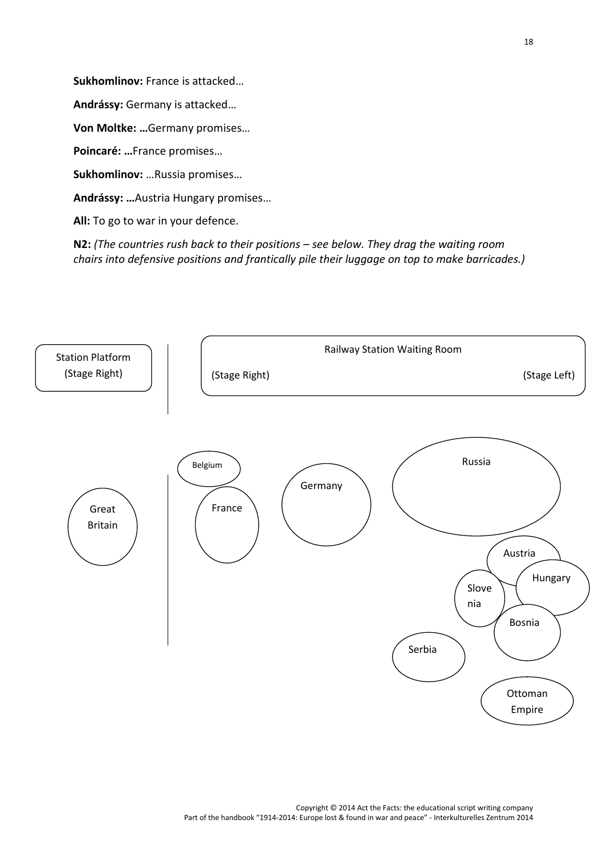**Sukhomlinov:** France is attacked…

**Andrássy:** Germany is attacked…

**Von Moltke: …**Germany promises…

**Poincaré: …**France promises…

**Sukhomlinov:** …Russia promises…

**Andrássy: …**Austria Hungary promises…

**All:** To go to war in your defence.

**N2:** *(The countries rush back to their positions – see below. They drag the waiting room chairs into defensive positions and frantically pile their luggage on top to make barricades.)*

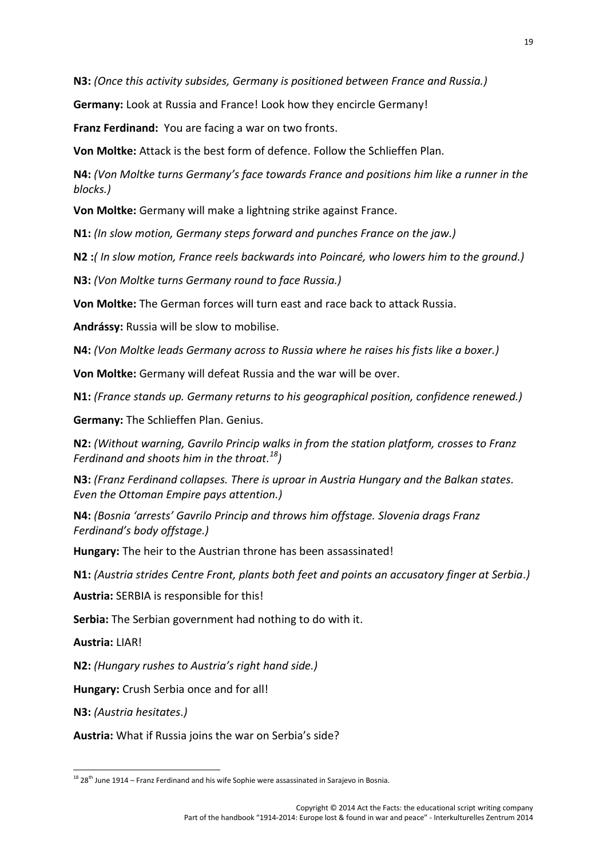**N3:** *(Once this activity subsides, Germany is positioned between France and Russia.)*

**Germany:** Look at Russia and France! Look how they encircle Germany!

**Franz Ferdinand:** You are facing a war on two fronts.

**Von Moltke:** Attack is the best form of defence. Follow the Schlieffen Plan.

**N4:** *(Von Moltke turns Germany's face towards France and positions him like a runner in the blocks.)*

**Von Moltke:** Germany will make a lightning strike against France.

**N1:** *(In slow motion, Germany steps forward and punches France on the jaw.)*

**N2 :***( In slow motion, France reels backwards into Poincaré, who lowers him to the ground.)*

**N3:** *(Von Moltke turns Germany round to face Russia.)*

**Von Moltke:** The German forces will turn east and race back to attack Russia.

**Andrássy:** Russia will be slow to mobilise.

**N4:** *(Von Moltke leads Germany across to Russia where he raises his fists like a boxer.)*

**Von Moltke:** Germany will defeat Russia and the war will be over.

**N1:** *(France stands up. Germany returns to his geographical position, confidence renewed.)*

**Germany:** The Schlieffen Plan. Genius.

**N2:** *(Without warning, Gavrilo Princip walks in from the station platform, crosses to Franz Ferdinand and shoots him in the throat.<sup>18</sup>)*

**N3:** *(Franz Ferdinand collapses. There is uproar in Austria Hungary and the Balkan states. Even the Ottoman Empire pays attention.)*

**N4:** *(Bosnia 'arrests' Gavrilo Princip and throws him offstage. Slovenia drags Franz Ferdinand's body offstage.)*

**Hungary:** The heir to the Austrian throne has been assassinated!

**N1:** *(Austria strides Centre Front, plants both feet and points an accusatory finger at Serbia.)*

**Austria:** SERBIA is responsible for this!

**Serbia:** The Serbian government had nothing to do with it.

**Austria:** LIAR!

**N2:** *(Hungary rushes to Austria's right hand side.)*

**Hungary:** Crush Serbia once and for all!

**N3:** *(Austria hesitates.)*

**Austria:** What if Russia joins the war on Serbia's side?

 $^{18}$  28<sup>th</sup> June 1914 – Franz Ferdinand and his wife Sophie were assassinated in Sarajevo in Bosnia.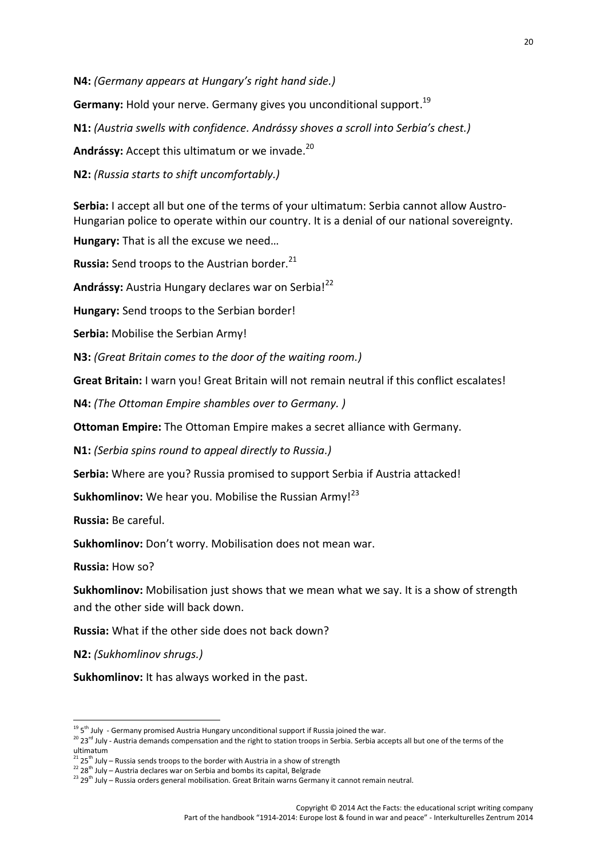**N4:** *(Germany appears at Hungary's right hand side.)*

Germany: Hold your nerve. Germany gives you unconditional support.<sup>19</sup>

**N1:** *(Austria swells with confidence. Andrássy shoves a scroll into Serbia's chest.)*

**Andrássy:** Accept this ultimatum or we invade.<sup>20</sup>

**N2:** *(Russia starts to shift uncomfortably.)*

**Serbia:** I accept all but one of the terms of your ultimatum: Serbia cannot allow Austro- Hungarian police to operate within our country. It is a denial of our national sovereignty.

**Hungary:** That is all the excuse we need…

**Russia:** Send troops to the Austrian border.<sup>21</sup>

Andrássy: Austria Hungary declares war on Serbia!<sup>22</sup>

**Hungary:** Send troops to the Serbian border!

**Serbia:** Mobilise the Serbian Army!

**N3:** *(Great Britain comes to the door of the waiting room.)*

**Great Britain:** I warn you! Great Britain will not remain neutral if this conflict escalates!

**N4:** *(The Ottoman Empire shambles over to Germany. )*

**Ottoman Empire:** The Ottoman Empire makes a secret alliance with Germany.

**N1:** *(Serbia spins round to appeal directly to Russia.)*

**Serbia:** Where are you? Russia promised to support Serbia if Austria attacked!

Sukhomlinov: We hear you. Mobilise the Russian Army!<sup>23</sup>

**Russia:** Be careful.

**Sukhomlinov:** Don't worry. Mobilisation does not mean war.

**Russia:** How so?

**Sukhomlinov:** Mobilisation just shows that we mean what we say. It is a show of strength and the other side will back down.

**Russia:** What if the other side does not back down?

**N2:** *(Sukhomlinov shrugs.)*

**Sukhomlinov:** It has always worked in the past.

 $195$ <sup>th</sup> July - Germany promised Austria Hungary unconditional support if Russia joined the war.

 $t^{20}$  23<sup>rd</sup> July - Austria demands compensation and the right to station troops in Serbia. Serbia accepts all but one of the terms of the ultimatum

 $2125<sup>th</sup>$  July – Russia sends troops to the border with Austria in a show of strength

 $22$  28<sup>th</sup> July – Austria declares war on Serbia and bombs its capital, Belgrade

 $^{23}$  29<sup>th</sup> July – Russia orders general mobilisation. Great Britain warns Germany it cannot remain neutral.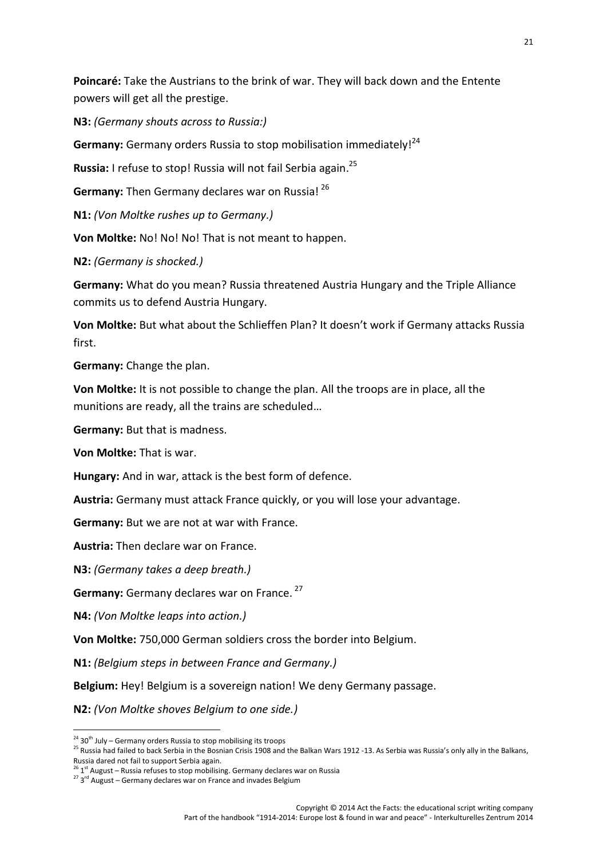**Poincaré:** Take the Austrians to the brink of war. They will back down and the Entente powers will get all the prestige.

**N3:** *(Germany shouts across to Russia:)*

**Germany:** Germany orders Russia to stop mobilisation immediately!<sup>24</sup>

**Russia:** I refuse to stop! Russia will not fail Serbia again.<sup>25</sup>

**Germany:** Then Germany declares war on Russia! <sup>26</sup>

**N1:** *(Von Moltke rushes up to Germany.)*

**Von Moltke:** No! No! No! That is not meant to happen.

**N2:** *(Germany is shocked.)*

**Germany:** What do you mean? Russia threatened Austria Hungary and the Triple Alliance commits us to defend Austria Hungary.

**Von Moltke:** But what about the Schlieffen Plan? It doesn't work if Germany attacks Russia first.

**Germany:** Change the plan.

**Von Moltke:** It is not possible to change the plan. All the troops are in place, all the munitions are ready, all the trains are scheduled…

**Germany:** But that is madness.

**Von Moltke:** That is war.

**Hungary:** And in war, attack is the best form of defence.

**Austria:** Germany must attack France quickly, or you will lose your advantage.

**Germany:** But we are not at war with France.

**Austria:** Then declare war on France.

**N3:** *(Germany takes a deep breath.)*

**Germany:** Germany declares war on France. <sup>27</sup>

**N4:** *(Von Moltke leaps into action.)*

**Von Moltke:** 750,000 German soldiers cross the border into Belgium.

**N1:** *(Belgium steps in between France and Germany.)*

**Belgium:** Hey! Belgium is a sovereign nation! We deny Germany passage.

**N2:** *(Von Moltke shoves Belgium to one side.)*

 $24$  30<sup>th</sup> July – Germany orders Russia to stop mobilising its troops

<sup>&</sup>lt;sup>25</sup> Russia had failed to back Serbia in the Bosnian Crisis 1908 and the Balkan Wars 1912 -13. As Serbia was Russia's only ally in the Balkans,

Russia dared not fail to support Serbia again.<br><sup>26</sup> 1<sup>st</sup> August – Russia refuses to stop mobilising. Germany declares war on Russia

<sup>&</sup>lt;sup>27</sup> 3<sup>rd</sup> August – Germany declares war on France and invades Belgium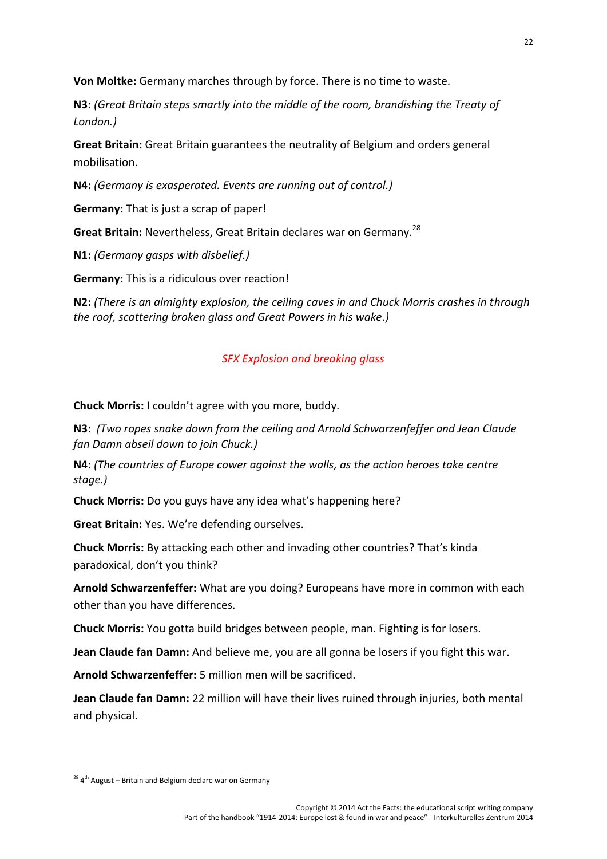**Von Moltke:** Germany marches through by force. There is no time to waste.

**N3:** *(Great Britain steps smartly into the middle of the room, brandishing the Treaty of London.)*

**Great Britain:** Great Britain guarantees the neutrality of Belgium and orders general mobilisation.

**N4:** *(Germany is exasperated. Events are running out of control.)*

**Germany:** That is just a scrap of paper!

**Great Britain:** Nevertheless, Great Britain declares war on Germany.<sup>28</sup>

**N1:** *(Germany gasps with disbelief.)*

**Germany:** This is a ridiculous over reaction!

**N2:** *(There is an almighty explosion, the ceiling caves in and Chuck Morris crashes in through the roof, scattering broken glass and Great Powers in his wake.)*

#### *SFX Explosion and breaking glass*

**Chuck Morris:** I couldn't agree with you more, buddy.

**N3:** *(Two ropes snake down from the ceiling and Arnold Schwarzenfeffer and Jean Claude fan Damn abseil down to join Chuck.)*

**N4:** *(The countries of Europe cower against the walls, as the action heroes take centre stage.)*

**Chuck Morris:** Do you guys have any idea what's happening here?

**Great Britain:** Yes. We're defending ourselves.

**Chuck Morris:** By attacking each other and invading other countries? That's kinda paradoxical, don't you think?

**Arnold Schwarzenfeffer:** What are you doing? Europeans have more in common with each other than you have differences.

**Chuck Morris:** You gotta build bridges between people, man. Fighting is for losers.

**Jean Claude fan Damn:** And believe me, you are all gonna be losers if you fight this war.

**Arnold Schwarzenfeffer:** 5 million men will be sacrificed.

**Jean Claude fan Damn:** 22 million will have their lives ruined through injuries, both mental and physical.

<sup>&</sup>lt;sup>28</sup> 4<sup>th</sup> August – Britain and Belgium declare war on Germany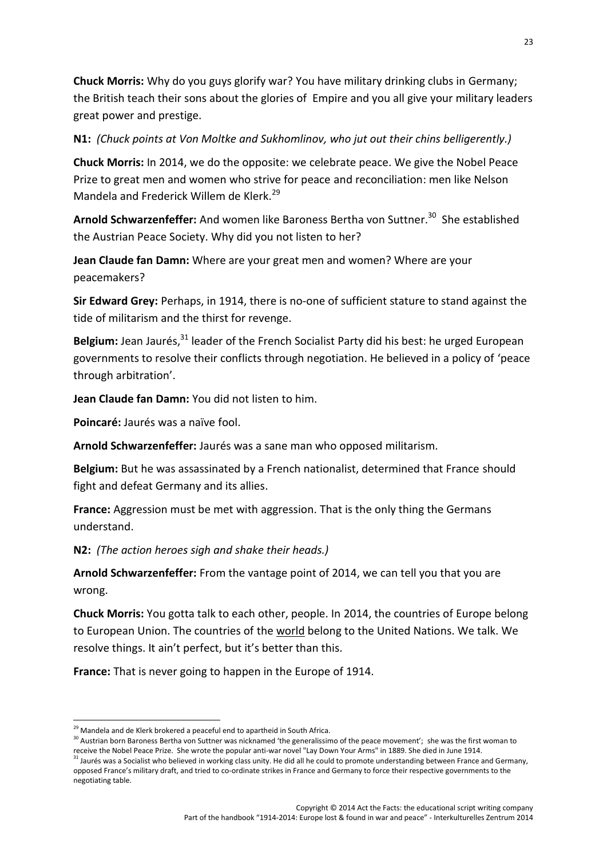**Chuck Morris:** Why do you guys glorify war? You have military drinking clubs in Germany; the British teach their sons about the glories of Empire and you all give your military leaders great power and prestige.

#### **N1:** *(Chuck points at Von Moltke and Sukhomlinov, who jut out their chins belligerently.)*

**Chuck Morris:** In 2014, we do the opposite: we celebrate peace. We give the Nobel Peace Prize to great men and women who strive for peace and reconciliation: men like Nelson Mandela and Frederick Willem de Klerk.<sup>29</sup>

Arnold Schwarzenfeffer: And women like Baroness Bertha von Suttner.<sup>30</sup> She established the Austrian Peace Society. Why did you not listen to her?

**Jean Claude fan Damn:** Where are your great men and women? Where are your peacemakers?

**Sir Edward Grey:** Perhaps, in 1914, there is no-one of sufficient stature to stand against the tide of militarism and the thirst for revenge.

Belgium: Jean Jaurés.<sup>31</sup> leader of the French Socialist Party did his best: he urged European governments to resolve their conflicts through negotiation. He believed in a policy of 'peace through arbitration'.

**Jean Claude fan Damn:** You did not listen to him.

**Poincaré:** Jaurés was a naïve fool.

**Arnold Schwarzenfeffer:** Jaurés was a sane man who opposed militarism.

**Belgium:** But he was assassinated by a French nationalist, determined that France should fight and defeat Germany and its allies.

**France:** Aggression must be met with aggression. That is the only thing the Germans understand.

**N2:** *(The action heroes sigh and shake their heads.)*

**Arnold Schwarzenfeffer:** From the vantage point of 2014, we can tell you that you are wrong.

**Chuck Morris:** You gotta talk to each other, people. In 2014, the countries of Europe belong to European Union. The countries of the world belong to the United Nations. We talk. We resolve things. It ain't perfect, but it's better than this.

**France:** That is never going to happen in the Europe of 1914.

<sup>&</sup>lt;sup>29</sup> Mandela and de Klerk brokered a peaceful end to apartheid in South Africa.<br><sup>30</sup> Austrian born Baroness Bertha von Suttner was nicknamed 'the generalissimo of the peace movement'; she was the first woman to receive the Nobel Peace Prize. She wrote the popular anti-war novel "Lay Down Your Arms" in 1889. She died in June 1914.

<sup>&</sup>lt;sup>31</sup> Jaurés was a Socialist who believed in working class unity. He did all he could to promote understanding between France and Germany, opposed France's military draft, and tried to co-ordinate strikes in France and Germany to force their respective governments to the negotiating table.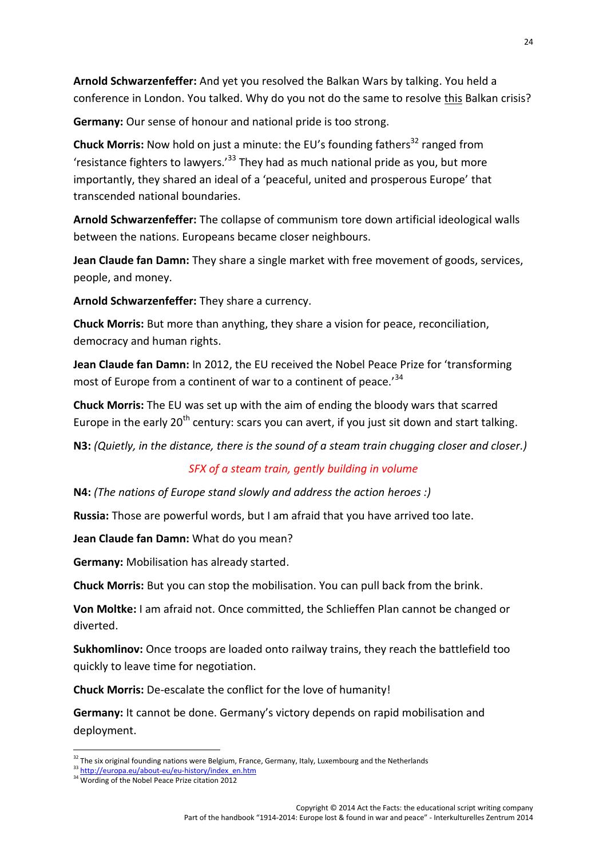**Arnold Schwarzenfeffer:** And yet you resolved the Balkan Wars by talking. You held a conference in London. You talked. Why do you not do the same to resolve this Balkan crisis?

**Germany:** Our sense of honour and national pride is too strong.

**Chuck Morris:** Now hold on just a minute: the EU's founding fathers<sup>32</sup> ranged from 'resistance fighters to lawyers.<sup>'33</sup> They had as much national pride as you, but more importantly, they shared an ideal of a 'peaceful, united and prosperous Europe' that transcended national boundaries.

**Arnold Schwarzenfeffer:** The collapse of communism tore down artificial ideological walls between the nations. Europeans became closer neighbours.

**Jean Claude fan Damn:** They share a single market with free movement of goods, services, people, and money.

**Arnold Schwarzenfeffer:** They share a currency.

**Chuck Morris:** But more than anything, they share a vision for peace, reconciliation, democracy and human rights.

**Jean Claude fan Damn:** In 2012, the EU received the Nobel Peace Prize for 'transforming most of Europe from a continent of war to a continent of peace.<sup>34</sup>

**Chuck Morris:** The EU was set up with the aim of ending the bloody wars that scarred Europe in the early  $20<sup>th</sup>$  century: scars you can avert, if you just sit down and start talking.

**N3:** *(Quietly, in the distance, there is the sound of a steam train chugging closer and closer.)*

#### *SFX of a steam train, gently building in volume*

**N4:** *(The nations of Europe stand slowly and address the action heroes :)*

**Russia:** Those are powerful words, but I am afraid that you have arrived too late.

**Jean Claude fan Damn:** What do you mean?

**Germany:** Mobilisation has already started.

**Chuck Morris:** But you can stop the mobilisation. You can pull back from the brink.

**Von Moltke:** I am afraid not. Once committed, the Schlieffen Plan cannot be changed or diverted.

**Sukhomlinov:** Once troops are loaded onto railway trains, they reach the battlefield too quickly to leave time for negotiation.

**Chuck Morris:** De-escalate the conflict for the love of humanity!

**Germany:** It cannot be done. Germany's victory depends on rapid mobilisation and deployment.

 $32$  The six original founding nations were Belgium, France, Germany, Italy, Luxembourg and the Netherlands

<sup>33</sup> http://europa.eu/about-eu/eu-history/index\_en.htm

<sup>&</sup>lt;sup>34</sup> Wording of the Nobel Peace Prize citation 2012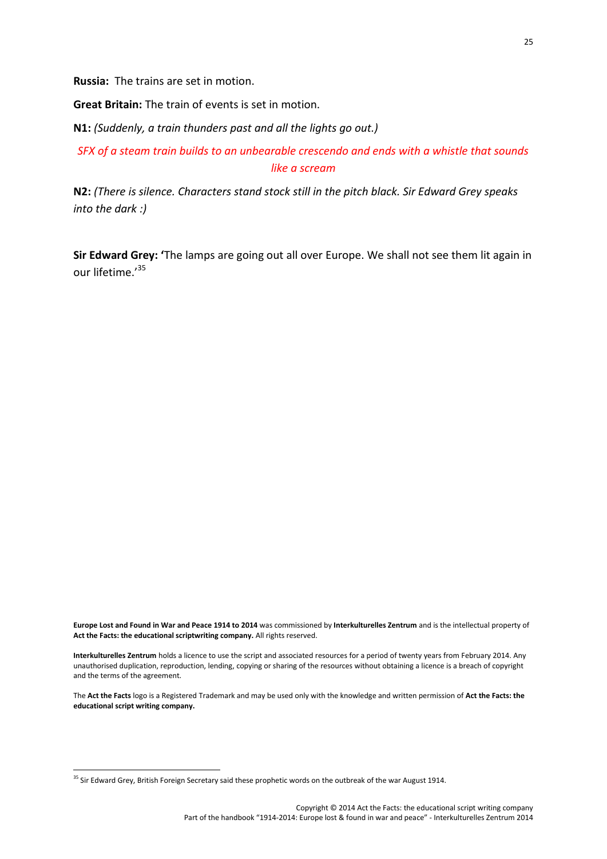**Russia:** The trains are set in motion.

**Great Britain:** The train of events is set in motion.

**N1:** *(Suddenly, a train thunders past and all the lights go out.)*

*SFX of a steam train builds to an unbearable crescendo and ends with a whistle that sounds like a scream*

**N2:** *(There is silence. Characters stand stock still in the pitch black. Sir Edward Grey speaks into the dark :)*

**Sir Edward Grey: '**The lamps are going out all over Europe. We shall not see them lit again in our lifetime.'<sup>35</sup>

**Europe Lost and Found in War and Peace 1914 to 2014** was commissioned by **Interkulturelles Zentrum** and is the intellectual property of **Act the Facts: the educational scriptwriting company.** All rights reserved.

**Interkulturelles Zentrum** holds a licence to use the script and associated resources for a period of twenty years from February 2014. Any unauthorised duplication, reproduction, lending, copying or sharing of the resources without obtaining a licence is a breach of copyright and the terms of the agreement.

The **Act the Facts** logo is a Registered Trademark and may be used only with the knowledge and written permission of **Act the Facts: the educational script writing company.**

<sup>&</sup>lt;sup>35</sup> Sir Edward Grey, British Foreign Secretary said these prophetic words on the outbreak of the war August 1914.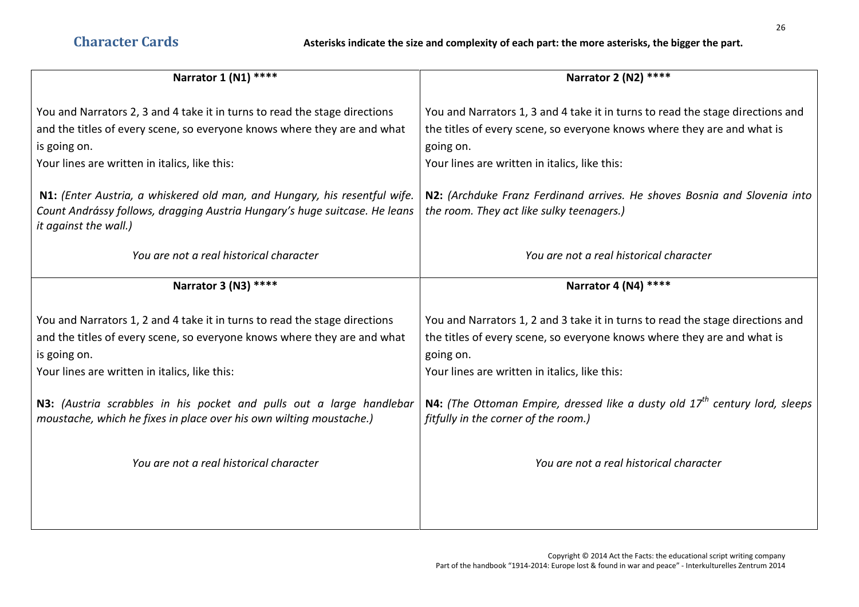| Narrator 1 (N1) ****                                                                                                                                                                                                    | Narrator 2 (N2) ****                                                                                                                                                                                                    |
|-------------------------------------------------------------------------------------------------------------------------------------------------------------------------------------------------------------------------|-------------------------------------------------------------------------------------------------------------------------------------------------------------------------------------------------------------------------|
| You and Narrators 2, 3 and 4 take it in turns to read the stage directions<br>and the titles of every scene, so everyone knows where they are and what<br>is going on.                                                  | You and Narrators 1, 3 and 4 take it in turns to read the stage directions and<br>the titles of every scene, so everyone knows where they are and what is<br>going on.                                                  |
| Your lines are written in italics, like this:                                                                                                                                                                           | Your lines are written in italics, like this:                                                                                                                                                                           |
| N1: (Enter Austria, a whiskered old man, and Hungary, his resentful wife.<br>Count Andrássy follows, dragging Austria Hungary's huge suitcase. He leans<br>it against the wall.)                                        | N2: (Archduke Franz Ferdinand arrives. He shoves Bosnia and Slovenia into<br>the room. They act like sulky teenagers.)                                                                                                  |
| You are not a real historical character                                                                                                                                                                                 | You are not a real historical character                                                                                                                                                                                 |
| Narrator 3 (N3) ****                                                                                                                                                                                                    | Narrator 4 (N4) ****                                                                                                                                                                                                    |
| You and Narrators 1, 2 and 4 take it in turns to read the stage directions<br>and the titles of every scene, so everyone knows where they are and what<br>is going on.<br>Your lines are written in italics, like this: | You and Narrators 1, 2 and 3 take it in turns to read the stage directions and<br>the titles of every scene, so everyone knows where they are and what is<br>going on.<br>Your lines are written in italics, like this: |
| N3: (Austria scrabbles in his pocket and pulls out a large handlebar<br>moustache, which he fixes in place over his own wilting moustache.)                                                                             | <b>N4:</b> (The Ottoman Empire, dressed like a dusty old $17th$ century lord, sleeps<br>fitfully in the corner of the room.)                                                                                            |
|                                                                                                                                                                                                                         |                                                                                                                                                                                                                         |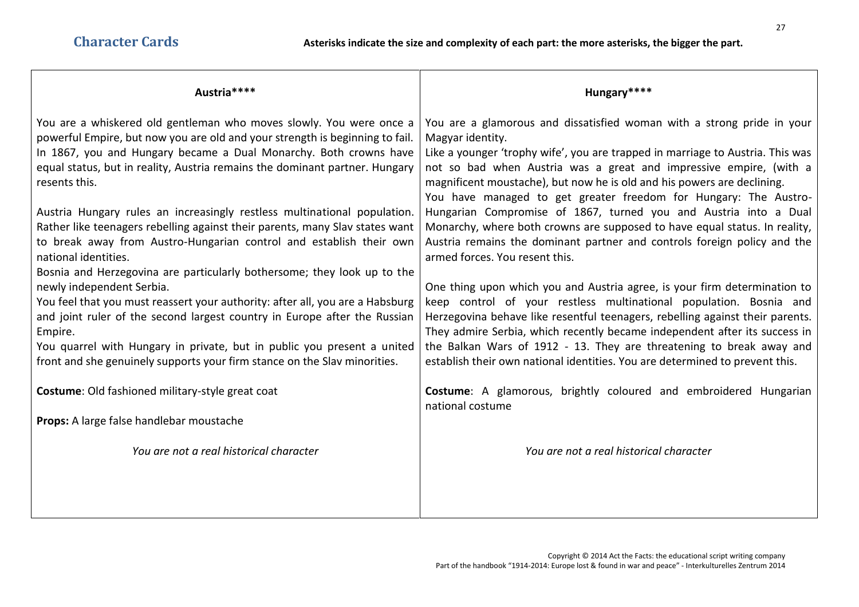| Austria****                                                                   | Hungary****                                                                    |
|-------------------------------------------------------------------------------|--------------------------------------------------------------------------------|
| You are a whiskered old gentleman who moves slowly. You were once a           | You are a glamorous and dissatisfied woman with a strong pride in your         |
| powerful Empire, but now you are old and your strength is beginning to fail.  | Magyar identity.                                                               |
| In 1867, you and Hungary became a Dual Monarchy. Both crowns have             | Like a younger 'trophy wife', you are trapped in marriage to Austria. This was |
| equal status, but in reality, Austria remains the dominant partner. Hungary   | not so bad when Austria was a great and impressive empire, (with a             |
| resents this.                                                                 | magnificent moustache), but now he is old and his powers are declining.        |
| Austria Hungary rules an increasingly restless multinational population.      | You have managed to get greater freedom for Hungary: The Austro-               |
| Rather like teenagers rebelling against their parents, many Slav states want  | Hungarian Compromise of 1867, turned you and Austria into a Dual               |
| to break away from Austro-Hungarian control and establish their own           | Monarchy, where both crowns are supposed to have equal status. In reality,     |
| national identities.                                                          | Austria remains the dominant partner and controls foreign policy and the       |
| Bosnia and Herzegovina are particularly bothersome; they look up to the       | armed forces. You resent this.                                                 |
| newly independent Serbia.                                                     | One thing upon which you and Austria agree, is your firm determination to      |
| You feel that you must reassert your authority: after all, you are a Habsburg | keep control of your restless multinational population. Bosnia and             |
| and joint ruler of the second largest country in Europe after the Russian     | Herzegovina behave like resentful teenagers, rebelling against their parents.  |
| Empire.                                                                       | They admire Serbia, which recently became independent after its success in     |
| You quarrel with Hungary in private, but in public you present a united       | the Balkan Wars of 1912 - 13. They are threatening to break away and           |
| front and she genuinely supports your firm stance on the Slav minorities.     | establish their own national identities. You are determined to prevent this.   |
| Costume: Old fashioned military-style great coat                              | Costume: A glamorous, brightly coloured and embroidered Hungarian              |
| Props: A large false handlebar moustache                                      | national costume                                                               |
| You are not a real historical character                                       | You are not a real historical character                                        |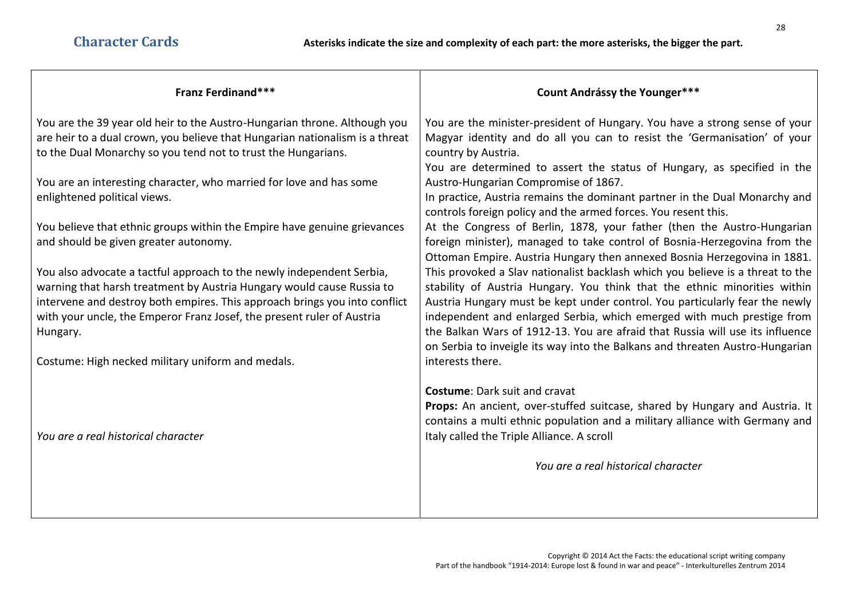| <b>Franz Ferdinand***</b>                                                                                                                                                                                                                                                                                          | <b>Count Andrássy the Younger***</b>                                                                                                                                                                                                                                                                                                                                                                  |
|--------------------------------------------------------------------------------------------------------------------------------------------------------------------------------------------------------------------------------------------------------------------------------------------------------------------|-------------------------------------------------------------------------------------------------------------------------------------------------------------------------------------------------------------------------------------------------------------------------------------------------------------------------------------------------------------------------------------------------------|
| You are the 39 year old heir to the Austro-Hungarian throne. Although you<br>are heir to a dual crown, you believe that Hungarian nationalism is a threat                                                                                                                                                          | You are the minister-president of Hungary. You have a strong sense of your<br>Magyar identity and do all you can to resist the 'Germanisation' of your                                                                                                                                                                                                                                                |
| to the Dual Monarchy so you tend not to trust the Hungarians.                                                                                                                                                                                                                                                      | country by Austria.<br>You are determined to assert the status of Hungary, as specified in the                                                                                                                                                                                                                                                                                                        |
| You are an interesting character, who married for love and has some                                                                                                                                                                                                                                                | Austro-Hungarian Compromise of 1867.                                                                                                                                                                                                                                                                                                                                                                  |
| enlightened political views.                                                                                                                                                                                                                                                                                       | In practice, Austria remains the dominant partner in the Dual Monarchy and<br>controls foreign policy and the armed forces. You resent this.                                                                                                                                                                                                                                                          |
| You believe that ethnic groups within the Empire have genuine grievances<br>and should be given greater autonomy.                                                                                                                                                                                                  | At the Congress of Berlin, 1878, your father (then the Austro-Hungarian<br>foreign minister), managed to take control of Bosnia-Herzegovina from the<br>Ottoman Empire. Austria Hungary then annexed Bosnia Herzegovina in 1881.                                                                                                                                                                      |
| You also advocate a tactful approach to the newly independent Serbia,<br>warning that harsh treatment by Austria Hungary would cause Russia to<br>intervene and destroy both empires. This approach brings you into conflict<br>with your uncle, the Emperor Franz Josef, the present ruler of Austria<br>Hungary. | This provoked a Slav nationalist backlash which you believe is a threat to the<br>stability of Austria Hungary. You think that the ethnic minorities within<br>Austria Hungary must be kept under control. You particularly fear the newly<br>independent and enlarged Serbia, which emerged with much prestige from<br>the Balkan Wars of 1912-13. You are afraid that Russia will use its influence |
| Costume: High necked military uniform and medals.                                                                                                                                                                                                                                                                  | on Serbia to inveigle its way into the Balkans and threaten Austro-Hungarian<br>interests there.                                                                                                                                                                                                                                                                                                      |
|                                                                                                                                                                                                                                                                                                                    |                                                                                                                                                                                                                                                                                                                                                                                                       |
|                                                                                                                                                                                                                                                                                                                    | <b>Costume: Dark suit and cravat</b><br>Props: An ancient, over-stuffed suitcase, shared by Hungary and Austria. It<br>contains a multi ethnic population and a military alliance with Germany and                                                                                                                                                                                                    |
| You are a real historical character                                                                                                                                                                                                                                                                                | Italy called the Triple Alliance. A scroll                                                                                                                                                                                                                                                                                                                                                            |
|                                                                                                                                                                                                                                                                                                                    | You are a real historical character                                                                                                                                                                                                                                                                                                                                                                   |
|                                                                                                                                                                                                                                                                                                                    |                                                                                                                                                                                                                                                                                                                                                                                                       |
|                                                                                                                                                                                                                                                                                                                    |                                                                                                                                                                                                                                                                                                                                                                                                       |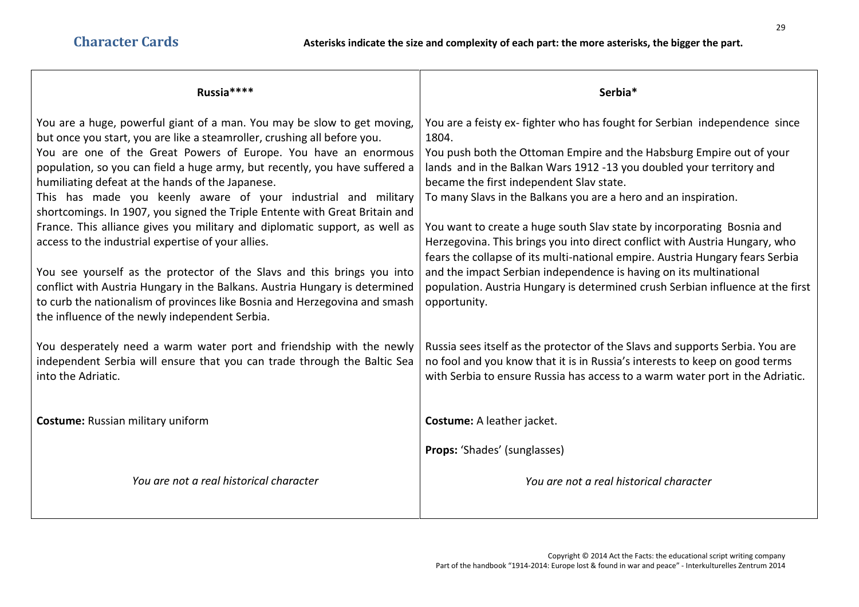| Russia****                                                                                                                                                                                                                                                                                                                                                                                                                                                                                                                                                                                                                                                                                                                                                                                                                                                                                                                                | Serbia*                                                                                                                                                                                                                                                                                                                                                                                                                                                                                                                                                                                                                                                                                                                                                             |
|-------------------------------------------------------------------------------------------------------------------------------------------------------------------------------------------------------------------------------------------------------------------------------------------------------------------------------------------------------------------------------------------------------------------------------------------------------------------------------------------------------------------------------------------------------------------------------------------------------------------------------------------------------------------------------------------------------------------------------------------------------------------------------------------------------------------------------------------------------------------------------------------------------------------------------------------|---------------------------------------------------------------------------------------------------------------------------------------------------------------------------------------------------------------------------------------------------------------------------------------------------------------------------------------------------------------------------------------------------------------------------------------------------------------------------------------------------------------------------------------------------------------------------------------------------------------------------------------------------------------------------------------------------------------------------------------------------------------------|
| You are a huge, powerful giant of a man. You may be slow to get moving,<br>but once you start, you are like a steamroller, crushing all before you.<br>You are one of the Great Powers of Europe. You have an enormous<br>population, so you can field a huge army, but recently, you have suffered a<br>humiliating defeat at the hands of the Japanese.<br>This has made you keenly aware of your industrial and military<br>shortcomings. In 1907, you signed the Triple Entente with Great Britain and<br>France. This alliance gives you military and diplomatic support, as well as<br>access to the industrial expertise of your allies.<br>You see yourself as the protector of the Slavs and this brings you into<br>conflict with Austria Hungary in the Balkans. Austria Hungary is determined<br>to curb the nationalism of provinces like Bosnia and Herzegovina and smash<br>the influence of the newly independent Serbia. | You are a feisty ex-fighter who has fought for Serbian independence since<br>1804.<br>You push both the Ottoman Empire and the Habsburg Empire out of your<br>lands and in the Balkan Wars 1912 -13 you doubled your territory and<br>became the first independent Slav state.<br>To many Slavs in the Balkans you are a hero and an inspiration.<br>You want to create a huge south Slav state by incorporating Bosnia and<br>Herzegovina. This brings you into direct conflict with Austria Hungary, who<br>fears the collapse of its multi-national empire. Austria Hungary fears Serbia<br>and the impact Serbian independence is having on its multinational<br>population. Austria Hungary is determined crush Serbian influence at the first<br>opportunity. |
| You desperately need a warm water port and friendship with the newly<br>independent Serbia will ensure that you can trade through the Baltic Sea<br>into the Adriatic.                                                                                                                                                                                                                                                                                                                                                                                                                                                                                                                                                                                                                                                                                                                                                                    | Russia sees itself as the protector of the Slavs and supports Serbia. You are<br>no fool and you know that it is in Russia's interests to keep on good terms<br>with Serbia to ensure Russia has access to a warm water port in the Adriatic.                                                                                                                                                                                                                                                                                                                                                                                                                                                                                                                       |
| <b>Costume: Russian military uniform</b>                                                                                                                                                                                                                                                                                                                                                                                                                                                                                                                                                                                                                                                                                                                                                                                                                                                                                                  | Costume: A leather jacket.                                                                                                                                                                                                                                                                                                                                                                                                                                                                                                                                                                                                                                                                                                                                          |
| You are not a real historical character                                                                                                                                                                                                                                                                                                                                                                                                                                                                                                                                                                                                                                                                                                                                                                                                                                                                                                   | Props: 'Shades' (sunglasses)<br>You are not a real historical character                                                                                                                                                                                                                                                                                                                                                                                                                                                                                                                                                                                                                                                                                             |
|                                                                                                                                                                                                                                                                                                                                                                                                                                                                                                                                                                                                                                                                                                                                                                                                                                                                                                                                           |                                                                                                                                                                                                                                                                                                                                                                                                                                                                                                                                                                                                                                                                                                                                                                     |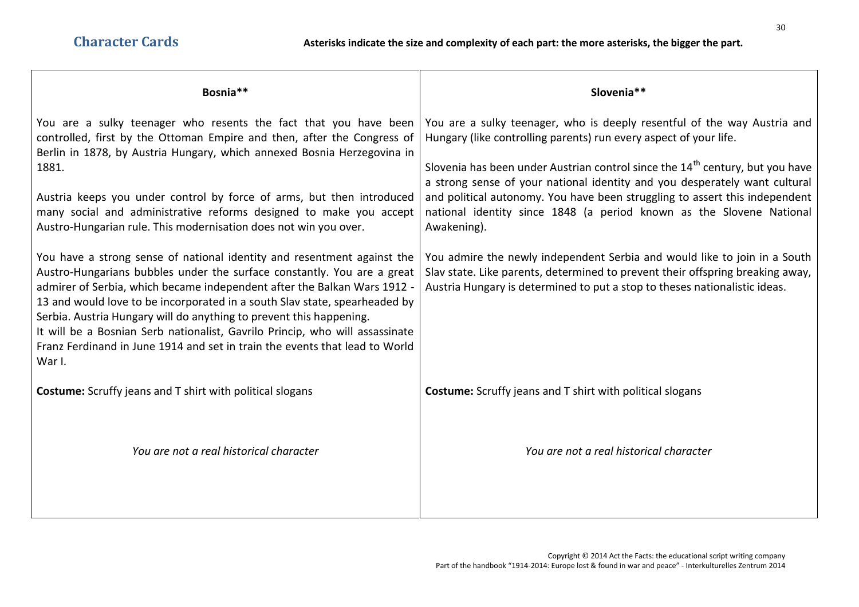| Bosnia**                                                                                                                                                                                                                                                                                                                                                                                                                                                                                                                                                                                                                                                                                                                                                                                                                                                                                                                                                                                                           | Slovenia**                                                                                                                                                                                                                                                                                                                                                                                                                                                                                                                                                                                                                                                                                                                                  |
|--------------------------------------------------------------------------------------------------------------------------------------------------------------------------------------------------------------------------------------------------------------------------------------------------------------------------------------------------------------------------------------------------------------------------------------------------------------------------------------------------------------------------------------------------------------------------------------------------------------------------------------------------------------------------------------------------------------------------------------------------------------------------------------------------------------------------------------------------------------------------------------------------------------------------------------------------------------------------------------------------------------------|---------------------------------------------------------------------------------------------------------------------------------------------------------------------------------------------------------------------------------------------------------------------------------------------------------------------------------------------------------------------------------------------------------------------------------------------------------------------------------------------------------------------------------------------------------------------------------------------------------------------------------------------------------------------------------------------------------------------------------------------|
| You are a sulky teenager who resents the fact that you have been<br>controlled, first by the Ottoman Empire and then, after the Congress of<br>Berlin in 1878, by Austria Hungary, which annexed Bosnia Herzegovina in<br>1881.<br>Austria keeps you under control by force of arms, but then introduced<br>many social and administrative reforms designed to make you accept<br>Austro-Hungarian rule. This modernisation does not win you over.<br>You have a strong sense of national identity and resentment against the<br>Austro-Hungarians bubbles under the surface constantly. You are a great<br>admirer of Serbia, which became independent after the Balkan Wars 1912 -<br>13 and would love to be incorporated in a south Slav state, spearheaded by<br>Serbia. Austria Hungary will do anything to prevent this happening.<br>It will be a Bosnian Serb nationalist, Gavrilo Princip, who will assassinate<br>Franz Ferdinand in June 1914 and set in train the events that lead to World<br>War I. | You are a sulky teenager, who is deeply resentful of the way Austria and<br>Hungary (like controlling parents) run every aspect of your life.<br>Slovenia has been under Austrian control since the 14 <sup>th</sup> century, but you have<br>a strong sense of your national identity and you desperately want cultural<br>and political autonomy. You have been struggling to assert this independent<br>national identity since 1848 (a period known as the Slovene National<br>Awakening).<br>You admire the newly independent Serbia and would like to join in a South<br>Slav state. Like parents, determined to prevent their offspring breaking away,<br>Austria Hungary is determined to put a stop to theses nationalistic ideas. |
| <b>Costume:</b> Scruffy jeans and T shirt with political slogans                                                                                                                                                                                                                                                                                                                                                                                                                                                                                                                                                                                                                                                                                                                                                                                                                                                                                                                                                   | <b>Costume:</b> Scruffy jeans and T shirt with political slogans                                                                                                                                                                                                                                                                                                                                                                                                                                                                                                                                                                                                                                                                            |
| You are not a real historical character                                                                                                                                                                                                                                                                                                                                                                                                                                                                                                                                                                                                                                                                                                                                                                                                                                                                                                                                                                            | You are not a real historical character                                                                                                                                                                                                                                                                                                                                                                                                                                                                                                                                                                                                                                                                                                     |
|                                                                                                                                                                                                                                                                                                                                                                                                                                                                                                                                                                                                                                                                                                                                                                                                                                                                                                                                                                                                                    |                                                                                                                                                                                                                                                                                                                                                                                                                                                                                                                                                                                                                                                                                                                                             |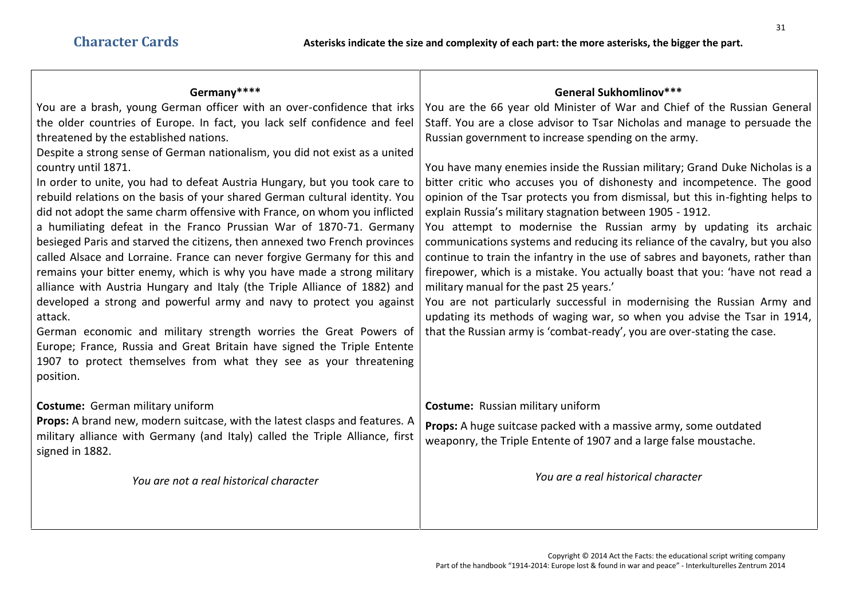| Germany****                                                                                                                                                                                                                                                                                                                                                                                                                                                                                                                                                                                                                                                                                                                                                                                                                                                                                                                                                                                                                                                                                                                                                                                                                                                   | General Sukhomlinov***                                                                                                                                                                                                                                                                                                                                                                                                                                                                                                                                                                                                                                                                                                                                                                                                                                                                                                                                                                                                                                                                                                     |
|---------------------------------------------------------------------------------------------------------------------------------------------------------------------------------------------------------------------------------------------------------------------------------------------------------------------------------------------------------------------------------------------------------------------------------------------------------------------------------------------------------------------------------------------------------------------------------------------------------------------------------------------------------------------------------------------------------------------------------------------------------------------------------------------------------------------------------------------------------------------------------------------------------------------------------------------------------------------------------------------------------------------------------------------------------------------------------------------------------------------------------------------------------------------------------------------------------------------------------------------------------------|----------------------------------------------------------------------------------------------------------------------------------------------------------------------------------------------------------------------------------------------------------------------------------------------------------------------------------------------------------------------------------------------------------------------------------------------------------------------------------------------------------------------------------------------------------------------------------------------------------------------------------------------------------------------------------------------------------------------------------------------------------------------------------------------------------------------------------------------------------------------------------------------------------------------------------------------------------------------------------------------------------------------------------------------------------------------------------------------------------------------------|
| You are a brash, young German officer with an over-confidence that irks<br>the older countries of Europe. In fact, you lack self confidence and feel<br>threatened by the established nations.<br>Despite a strong sense of German nationalism, you did not exist as a united<br>country until 1871.<br>In order to unite, you had to defeat Austria Hungary, but you took care to<br>rebuild relations on the basis of your shared German cultural identity. You<br>did not adopt the same charm offensive with France, on whom you inflicted<br>a humiliating defeat in the Franco Prussian War of 1870-71. Germany<br>besieged Paris and starved the citizens, then annexed two French provinces<br>called Alsace and Lorraine. France can never forgive Germany for this and<br>remains your bitter enemy, which is why you have made a strong military<br>alliance with Austria Hungary and Italy (the Triple Alliance of 1882) and<br>developed a strong and powerful army and navy to protect you against<br>attack.<br>German economic and military strength worries the Great Powers of<br>Europe; France, Russia and Great Britain have signed the Triple Entente<br>1907 to protect themselves from what they see as your threatening<br>position. | You are the 66 year old Minister of War and Chief of the Russian General<br>Staff. You are a close advisor to Tsar Nicholas and manage to persuade the<br>Russian government to increase spending on the army.<br>You have many enemies inside the Russian military; Grand Duke Nicholas is a<br>bitter critic who accuses you of dishonesty and incompetence. The good<br>opinion of the Tsar protects you from dismissal, but this in-fighting helps to<br>explain Russia's military stagnation between 1905 - 1912.<br>You attempt to modernise the Russian army by updating its archaic<br>communications systems and reducing its reliance of the cavalry, but you also<br>continue to train the infantry in the use of sabres and bayonets, rather than<br>firepower, which is a mistake. You actually boast that you: 'have not read a<br>military manual for the past 25 years.'<br>You are not particularly successful in modernising the Russian Army and<br>updating its methods of waging war, so when you advise the Tsar in 1914,<br>that the Russian army is 'combat-ready', you are over-stating the case. |
| Costume: German military uniform<br>Props: A brand new, modern suitcase, with the latest clasps and features. A<br>military alliance with Germany (and Italy) called the Triple Alliance, first<br>signed in 1882.                                                                                                                                                                                                                                                                                                                                                                                                                                                                                                                                                                                                                                                                                                                                                                                                                                                                                                                                                                                                                                            | <b>Costume:</b> Russian military uniform<br>Props: A huge suitcase packed with a massive army, some outdated<br>weaponry, the Triple Entente of 1907 and a large false moustache.                                                                                                                                                                                                                                                                                                                                                                                                                                                                                                                                                                                                                                                                                                                                                                                                                                                                                                                                          |
| You are not a real historical character                                                                                                                                                                                                                                                                                                                                                                                                                                                                                                                                                                                                                                                                                                                                                                                                                                                                                                                                                                                                                                                                                                                                                                                                                       | You are a real historical character                                                                                                                                                                                                                                                                                                                                                                                                                                                                                                                                                                                                                                                                                                                                                                                                                                                                                                                                                                                                                                                                                        |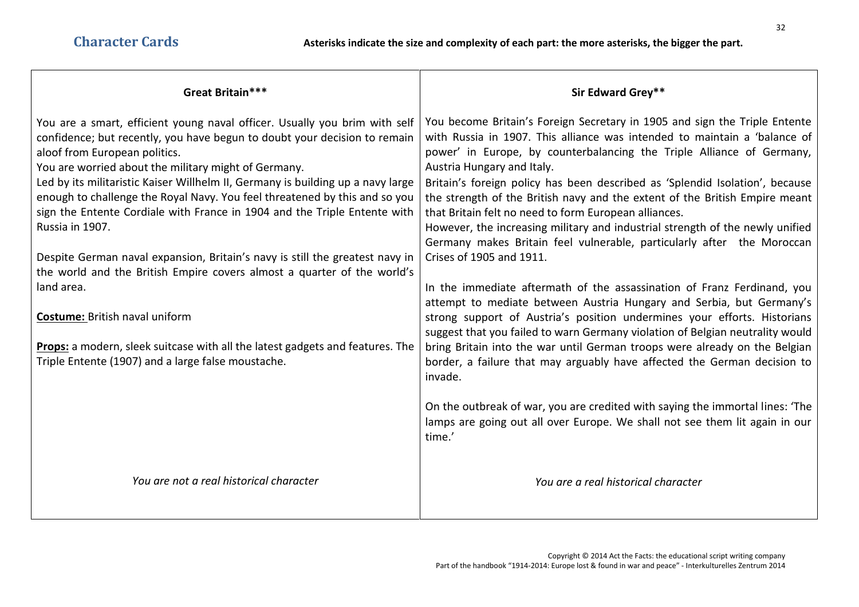| You become Britain's Foreign Secretary in 1905 and sign the Triple Entente<br>with Russia in 1907. This alliance was intended to maintain a 'balance of<br>power' in Europe, by counterbalancing the Triple Alliance of Germany,<br>Austria Hungary and Italy.<br>Britain's foreign policy has been described as 'Splendid Isolation', because<br>the strength of the British navy and the extent of the British Empire meant |
|-------------------------------------------------------------------------------------------------------------------------------------------------------------------------------------------------------------------------------------------------------------------------------------------------------------------------------------------------------------------------------------------------------------------------------|
|                                                                                                                                                                                                                                                                                                                                                                                                                               |
|                                                                                                                                                                                                                                                                                                                                                                                                                               |
|                                                                                                                                                                                                                                                                                                                                                                                                                               |
|                                                                                                                                                                                                                                                                                                                                                                                                                               |
| that Britain felt no need to form European alliances.<br>However, the increasing military and industrial strength of the newly unified                                                                                                                                                                                                                                                                                        |
| Germany makes Britain feel vulnerable, particularly after the Moroccan<br>Crises of 1905 and 1911.                                                                                                                                                                                                                                                                                                                            |
|                                                                                                                                                                                                                                                                                                                                                                                                                               |
| In the immediate aftermath of the assassination of Franz Ferdinand, you<br>attempt to mediate between Austria Hungary and Serbia, but Germany's                                                                                                                                                                                                                                                                               |
| strong support of Austria's position undermines your efforts. Historians                                                                                                                                                                                                                                                                                                                                                      |
| suggest that you failed to warn Germany violation of Belgian neutrality would                                                                                                                                                                                                                                                                                                                                                 |
| bring Britain into the war until German troops were already on the Belgian<br>border, a failure that may arguably have affected the German decision to                                                                                                                                                                                                                                                                        |
| On the outbreak of war, you are credited with saying the immortal lines: 'The<br>lamps are going out all over Europe. We shall not see them lit again in our                                                                                                                                                                                                                                                                  |
|                                                                                                                                                                                                                                                                                                                                                                                                                               |
|                                                                                                                                                                                                                                                                                                                                                                                                                               |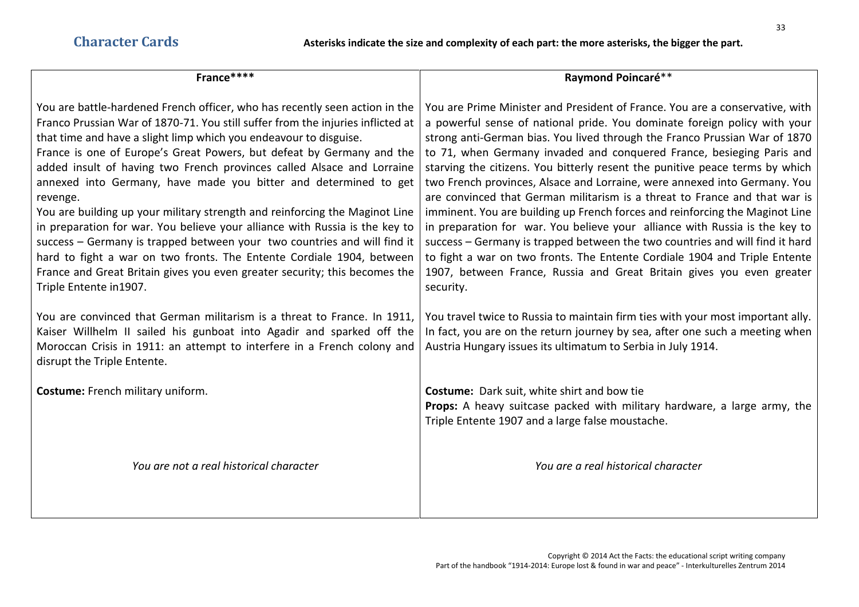| France****                                                                                                                                                                                                                                                                                                                                                                                                                                                                                                                                                                                                                                                                                                                                                                                                                                                                                         | Raymond Poincaré**                                                                                                                                                                                                                                                                                                                                                                                                                                                                                                                                                                                                                                                                                                                                                                                                                                                                                                                                                             |
|----------------------------------------------------------------------------------------------------------------------------------------------------------------------------------------------------------------------------------------------------------------------------------------------------------------------------------------------------------------------------------------------------------------------------------------------------------------------------------------------------------------------------------------------------------------------------------------------------------------------------------------------------------------------------------------------------------------------------------------------------------------------------------------------------------------------------------------------------------------------------------------------------|--------------------------------------------------------------------------------------------------------------------------------------------------------------------------------------------------------------------------------------------------------------------------------------------------------------------------------------------------------------------------------------------------------------------------------------------------------------------------------------------------------------------------------------------------------------------------------------------------------------------------------------------------------------------------------------------------------------------------------------------------------------------------------------------------------------------------------------------------------------------------------------------------------------------------------------------------------------------------------|
| You are battle-hardened French officer, who has recently seen action in the<br>Franco Prussian War of 1870-71. You still suffer from the injuries inflicted at<br>that time and have a slight limp which you endeavour to disguise.<br>France is one of Europe's Great Powers, but defeat by Germany and the<br>added insult of having two French provinces called Alsace and Lorraine<br>annexed into Germany, have made you bitter and determined to get<br>revenge.<br>You are building up your military strength and reinforcing the Maginot Line<br>in preparation for war. You believe your alliance with Russia is the key to<br>success - Germany is trapped between your two countries and will find it<br>hard to fight a war on two fronts. The Entente Cordiale 1904, between<br>France and Great Britain gives you even greater security; this becomes the<br>Triple Entente in 1907. | You are Prime Minister and President of France. You are a conservative, with<br>a powerful sense of national pride. You dominate foreign policy with your<br>strong anti-German bias. You lived through the Franco Prussian War of 1870<br>to 71, when Germany invaded and conquered France, besieging Paris and<br>starving the citizens. You bitterly resent the punitive peace terms by which<br>two French provinces, Alsace and Lorraine, were annexed into Germany. You<br>are convinced that German militarism is a threat to France and that war is<br>imminent. You are building up French forces and reinforcing the Maginot Line<br>in preparation for war. You believe your alliance with Russia is the key to<br>success – Germany is trapped between the two countries and will find it hard<br>to fight a war on two fronts. The Entente Cordiale 1904 and Triple Entente<br>1907, between France, Russia and Great Britain gives you even greater<br>security. |
| You are convinced that German militarism is a threat to France. In 1911,<br>Kaiser Willhelm II sailed his gunboat into Agadir and sparked off the<br>Moroccan Crisis in 1911: an attempt to interfere in a French colony and<br>disrupt the Triple Entente.                                                                                                                                                                                                                                                                                                                                                                                                                                                                                                                                                                                                                                        | You travel twice to Russia to maintain firm ties with your most important ally.<br>In fact, you are on the return journey by sea, after one such a meeting when<br>Austria Hungary issues its ultimatum to Serbia in July 1914.                                                                                                                                                                                                                                                                                                                                                                                                                                                                                                                                                                                                                                                                                                                                                |
| <b>Costume:</b> French military uniform.                                                                                                                                                                                                                                                                                                                                                                                                                                                                                                                                                                                                                                                                                                                                                                                                                                                           | <b>Costume:</b> Dark suit, white shirt and bow tie<br><b>Props:</b> A heavy suitcase packed with military hardware, a large army, the<br>Triple Entente 1907 and a large false moustache.                                                                                                                                                                                                                                                                                                                                                                                                                                                                                                                                                                                                                                                                                                                                                                                      |
| You are not a real historical character                                                                                                                                                                                                                                                                                                                                                                                                                                                                                                                                                                                                                                                                                                                                                                                                                                                            | You are a real historical character                                                                                                                                                                                                                                                                                                                                                                                                                                                                                                                                                                                                                                                                                                                                                                                                                                                                                                                                            |
|                                                                                                                                                                                                                                                                                                                                                                                                                                                                                                                                                                                                                                                                                                                                                                                                                                                                                                    |                                                                                                                                                                                                                                                                                                                                                                                                                                                                                                                                                                                                                                                                                                                                                                                                                                                                                                                                                                                |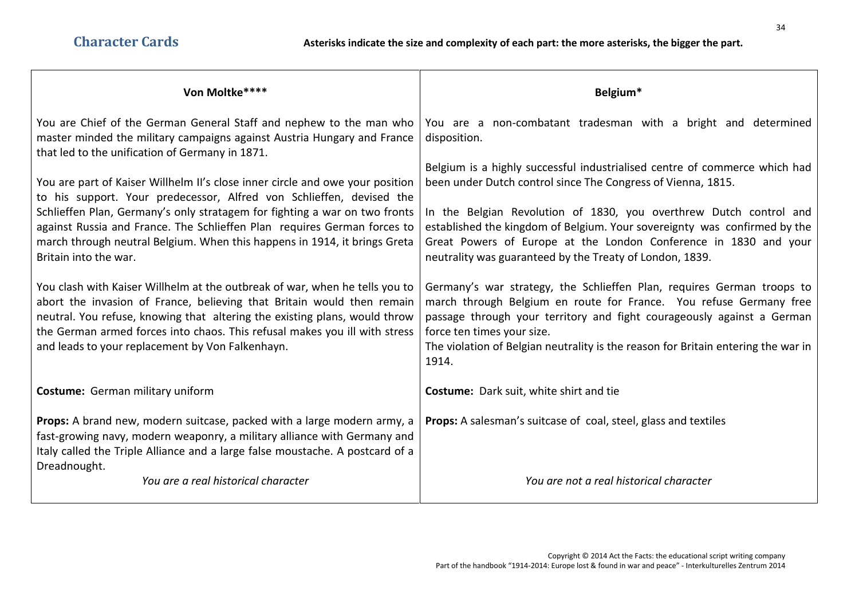| Von Moltke****                                                                                                                                                                                                                                                                                                                                                        | Belgium*                                                                                                                                                                                                                                                                                                                                           |
|-----------------------------------------------------------------------------------------------------------------------------------------------------------------------------------------------------------------------------------------------------------------------------------------------------------------------------------------------------------------------|----------------------------------------------------------------------------------------------------------------------------------------------------------------------------------------------------------------------------------------------------------------------------------------------------------------------------------------------------|
| You are Chief of the German General Staff and nephew to the man who<br>master minded the military campaigns against Austria Hungary and France<br>that led to the unification of Germany in 1871.                                                                                                                                                                     | You are a non-combatant tradesman with a bright and determined<br>disposition.                                                                                                                                                                                                                                                                     |
| You are part of Kaiser Willhelm II's close inner circle and owe your position<br>to his support. Your predecessor, Alfred von Schlieffen, devised the                                                                                                                                                                                                                 | Belgium is a highly successful industrialised centre of commerce which had<br>been under Dutch control since The Congress of Vienna, 1815.                                                                                                                                                                                                         |
| Schlieffen Plan, Germany's only stratagem for fighting a war on two fronts<br>against Russia and France. The Schlieffen Plan requires German forces to<br>march through neutral Belgium. When this happens in 1914, it brings Greta<br>Britain into the war.                                                                                                          | In the Belgian Revolution of 1830, you overthrew Dutch control and<br>established the kingdom of Belgium. Your sovereignty was confirmed by the<br>Great Powers of Europe at the London Conference in 1830 and your<br>neutrality was guaranteed by the Treaty of London, 1839.                                                                    |
| You clash with Kaiser Willhelm at the outbreak of war, when he tells you to<br>abort the invasion of France, believing that Britain would then remain<br>neutral. You refuse, knowing that altering the existing plans, would throw<br>the German armed forces into chaos. This refusal makes you ill with stress<br>and leads to your replacement by Von Falkenhayn. | Germany's war strategy, the Schlieffen Plan, requires German troops to<br>march through Belgium en route for France. You refuse Germany free<br>passage through your territory and fight courageously against a German<br>force ten times your size.<br>The violation of Belgian neutrality is the reason for Britain entering the war in<br>1914. |
| Costume: German military uniform                                                                                                                                                                                                                                                                                                                                      | <b>Costume:</b> Dark suit, white shirt and tie                                                                                                                                                                                                                                                                                                     |
| <b>Props:</b> A brand new, modern suitcase, packed with a large modern army, a<br>fast-growing navy, modern weaponry, a military alliance with Germany and<br>Italy called the Triple Alliance and a large false moustache. A postcard of a<br>Dreadnought.                                                                                                           | <b>Props:</b> A salesman's suitcase of coal, steel, glass and textiles                                                                                                                                                                                                                                                                             |
| You are a real historical character                                                                                                                                                                                                                                                                                                                                   | You are not a real historical character                                                                                                                                                                                                                                                                                                            |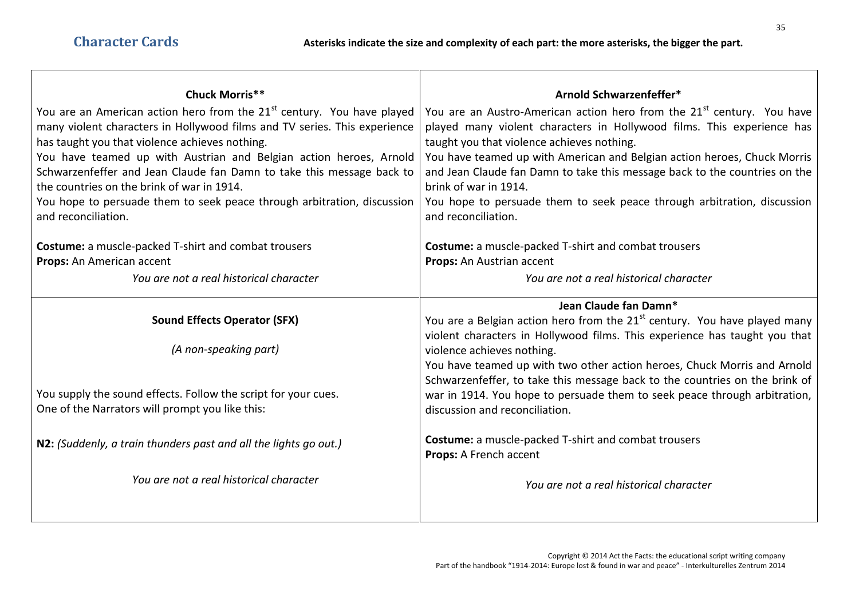| <b>Chuck Morris**</b>                                                                                                                                           | Arnold Schwarzenfeffer*                                                                                                                                      |
|-----------------------------------------------------------------------------------------------------------------------------------------------------------------|--------------------------------------------------------------------------------------------------------------------------------------------------------------|
| You are an American action hero from the 21 <sup>st</sup> century. You have played<br>many violent characters in Hollywood films and TV series. This experience | You are an Austro-American action hero from the 21 <sup>st</sup> century. You have<br>played many violent characters in Hollywood films. This experience has |
| has taught you that violence achieves nothing.                                                                                                                  | taught you that violence achieves nothing.                                                                                                                   |
| You have teamed up with Austrian and Belgian action heroes, Arnold                                                                                              | You have teamed up with American and Belgian action heroes, Chuck Morris                                                                                     |
| Schwarzenfeffer and Jean Claude fan Damn to take this message back to                                                                                           | and Jean Claude fan Damn to take this message back to the countries on the                                                                                   |
| the countries on the brink of war in 1914.                                                                                                                      | brink of war in 1914.                                                                                                                                        |
| You hope to persuade them to seek peace through arbitration, discussion<br>and reconciliation.                                                                  | You hope to persuade them to seek peace through arbitration, discussion<br>and reconciliation.                                                               |
| <b>Costume:</b> a muscle-packed T-shirt and combat trousers                                                                                                     | <b>Costume:</b> a muscle-packed T-shirt and combat trousers                                                                                                  |
| Props: An American accent                                                                                                                                       | Props: An Austrian accent                                                                                                                                    |
| You are not a real historical character                                                                                                                         | You are not a real historical character                                                                                                                      |
|                                                                                                                                                                 | Jean Claude fan Damn*                                                                                                                                        |
| <b>Sound Effects Operator (SFX)</b>                                                                                                                             | You are a Belgian action hero from the $21st$ century. You have played many<br>violent characters in Hollywood films. This experience has taught you that    |
| (A non-speaking part)                                                                                                                                           | violence achieves nothing.                                                                                                                                   |
|                                                                                                                                                                 | You have teamed up with two other action heroes, Chuck Morris and Arnold                                                                                     |
|                                                                                                                                                                 | Schwarzenfeffer, to take this message back to the countries on the brink of                                                                                  |
| You supply the sound effects. Follow the script for your cues.                                                                                                  | war in 1914. You hope to persuade them to seek peace through arbitration,                                                                                    |
| One of the Narrators will prompt you like this:                                                                                                                 | discussion and reconciliation.                                                                                                                               |
| N2: (Suddenly, a train thunders past and all the lights go out.)                                                                                                | <b>Costume:</b> a muscle-packed T-shirt and combat trousers                                                                                                  |
|                                                                                                                                                                 | Props: A French accent                                                                                                                                       |
| You are not a real historical character                                                                                                                         | You are not a real historical character                                                                                                                      |

┱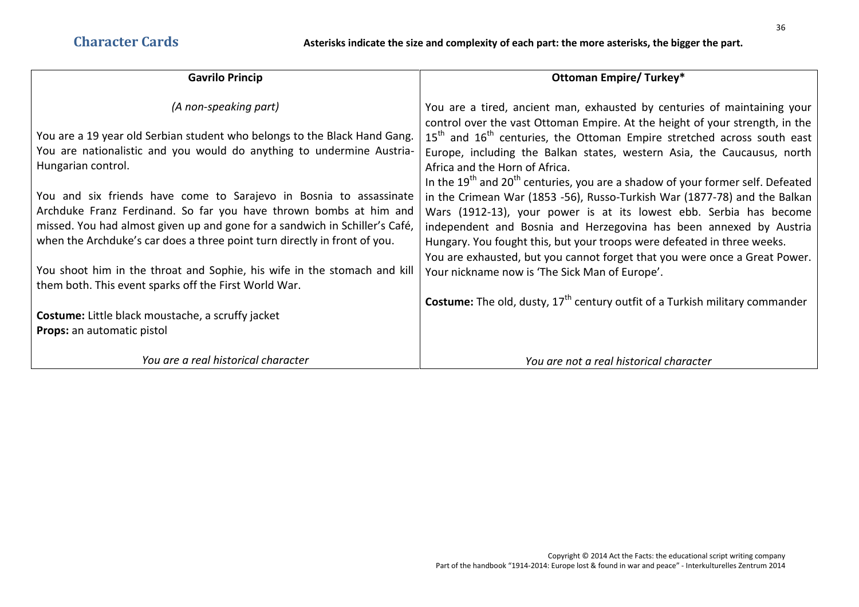| <b>Gavrilo Princip</b>                                                                                                            | <b>Ottoman Empire/ Turkey*</b>                                                                            |
|-----------------------------------------------------------------------------------------------------------------------------------|-----------------------------------------------------------------------------------------------------------|
| (A non-speaking part)                                                                                                             | You are a tired, ancient man, exhausted by centuries of maintaining your                                  |
|                                                                                                                                   | control over the vast Ottoman Empire. At the height of your strength, in the                              |
| You are a 19 year old Serbian student who belongs to the Black Hand Gang.                                                         | $15th$ and $16th$ centuries, the Ottoman Empire stretched across south east                               |
| You are nationalistic and you would do anything to undermine Austria-<br>Hungarian control.                                       | Europe, including the Balkan states, western Asia, the Caucausus, north<br>Africa and the Horn of Africa. |
|                                                                                                                                   | In the $19th$ and $20th$ centuries, you are a shadow of your former self. Defeated                        |
| You and six friends have come to Sarajevo in Bosnia to assassinate                                                                | in the Crimean War (1853 -56), Russo-Turkish War (1877-78) and the Balkan                                 |
| Archduke Franz Ferdinand. So far you have thrown bombs at him and                                                                 | Wars (1912-13), your power is at its lowest ebb. Serbia has become                                        |
| missed. You had almost given up and gone for a sandwich in Schiller's Café,                                                       | independent and Bosnia and Herzegovina has been annexed by Austria                                        |
| when the Archduke's car does a three point turn directly in front of you.                                                         | Hungary. You fought this, but your troops were defeated in three weeks.                                   |
|                                                                                                                                   | You are exhausted, but you cannot forget that you were once a Great Power.                                |
| You shoot him in the throat and Sophie, his wife in the stomach and kill<br>them both. This event sparks off the First World War. | Your nickname now is 'The Sick Man of Europe'.                                                            |
|                                                                                                                                   | <b>Costume:</b> The old, dusty, $17th$ century outfit of a Turkish military commander                     |
| <b>Costume:</b> Little black moustache, a scruffy jacket                                                                          |                                                                                                           |
| <b>Props:</b> an automatic pistol                                                                                                 |                                                                                                           |
| You are a real historical character                                                                                               | You are not a real historical character                                                                   |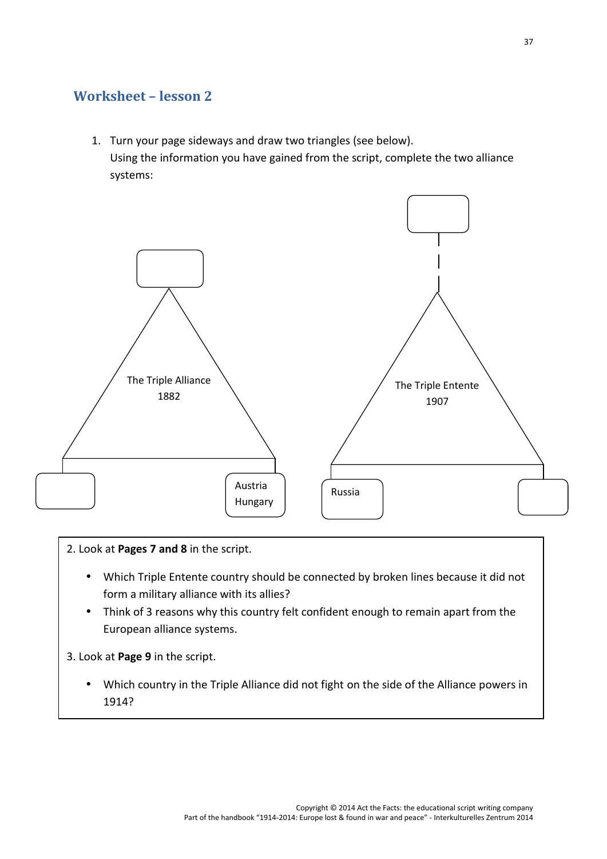## **Worksheet – lesson 2**

1. Turn your page sideways and draw two triangles (see below). Using the information you have gained from the script, complete the two alliance systems:



2. Look at **Pages 7 and 8** in the script.

- Which Triple Entente country should be connected by broken lines because it did not form a military alliance with its allies?
- Think of 3 reasons why this country felt confident enough to remain apart from the European alliance systems.

3. Look at **Page 9** in the script.

 Which country in the Triple Alliance did not fight on the side of the Alliance powers in 1914?

 $\overline{\phantom{a}}$  and this come to in 1915? Can you explain this come to in 1915? Can you explain this country come to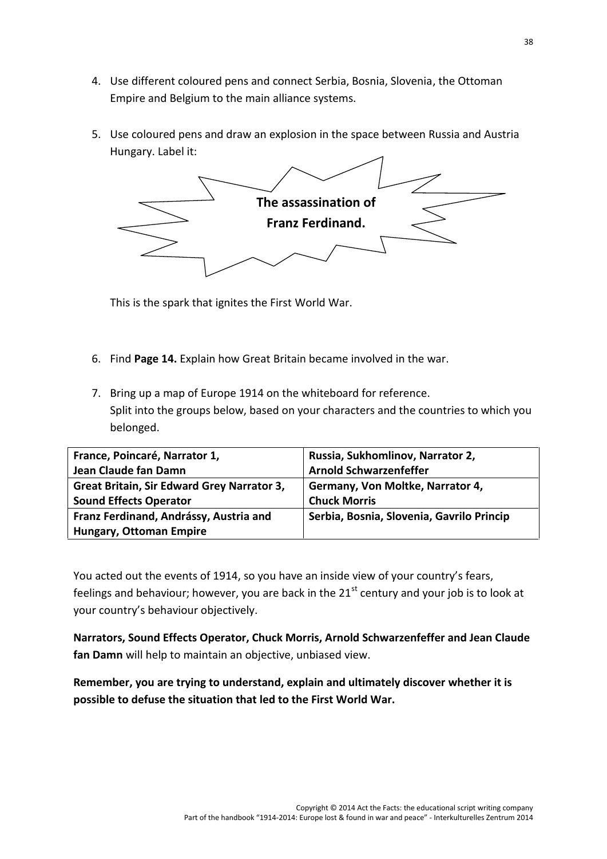- 4. Use different coloured pens and connect Serbia, Bosnia, Slovenia, the Ottoman Empire and Belgium to the main alliance systems.
- 5. Use coloured pens and draw an explosion in the space between Russia and Austria Hungary. Label it:



This is the spark that ignites the First World War.

- 6. Find **Page 14.** Explain how Great Britain became involved in the war.
- 7. Bring up a map of Europe 1914 on the whiteboard for reference. Split into the groups below, based on your characters and the countries to which you belonged.

| France, Poincaré, Narrator 1,              | Russia, Sukhomlinov, Narrator 2,          |
|--------------------------------------------|-------------------------------------------|
| Jean Claude fan Damn                       | <b>Arnold Schwarzenfeffer</b>             |
| Great Britain, Sir Edward Grey Narrator 3, | Germany, Von Moltke, Narrator 4,          |
| <b>Sound Effects Operator</b>              | <b>Chuck Morris</b>                       |
| Franz Ferdinand, Andrássy, Austria and     | Serbia, Bosnia, Slovenia, Gavrilo Princip |
| <b>Hungary, Ottoman Empire</b>             |                                           |

You acted out the events of 1914, so you have an inside view of your country's fears, feelings and behaviour; however, you are back in the  $21<sup>st</sup>$  century and your job is to look at your country's behaviour objectively.

**Narrators, Sound Effects Operator, Chuck Morris, Arnold Schwarzenfeffer and Jean Claude fan Damn** will help to maintain an objective, unbiased view.

**Remember, you are trying to understand, explain and ultimately discover whether it is possible to defuse the situation that led to the First World War.**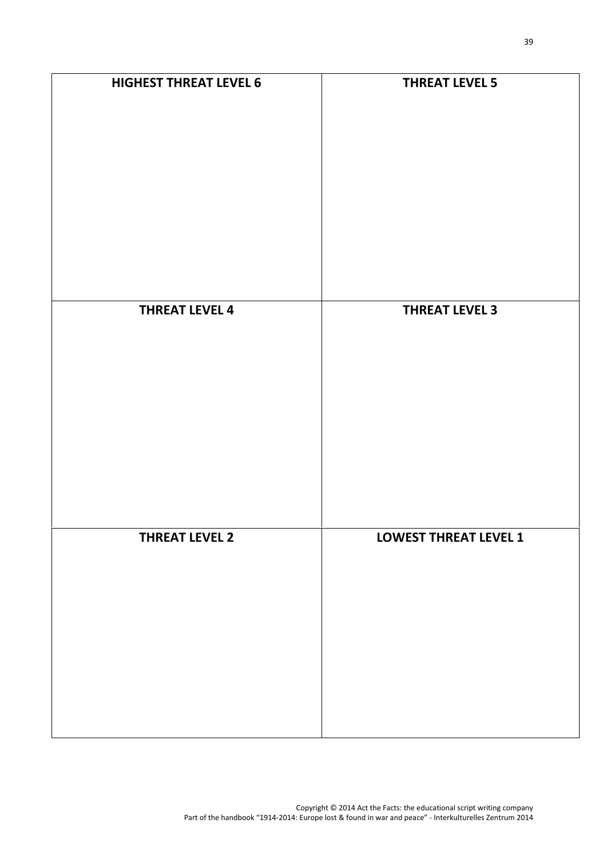| <b>HIGHEST THREAT LEVEL 6</b> | <b>THREAT LEVEL 5</b>        |
|-------------------------------|------------------------------|
| <b>THREAT LEVEL 4</b>         | <b>THREAT LEVEL 3</b>        |
| <b>THREAT LEVEL 2</b>         | <b>LOWEST THREAT LEVEL 1</b> |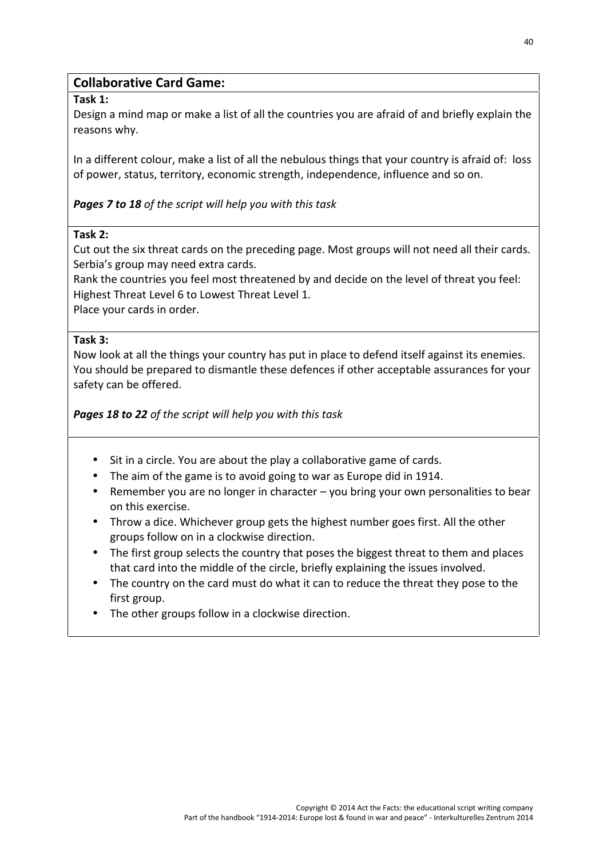#### **Collaborative Card Game:**

#### **Task 1:**

Design a mind map or make a list of all the countries you are afraid of and briefly explain the reasons why.

In a different colour, make a list of all the nebulous things that your country is afraid of: loss of power, status, territory, economic strength, independence, influence and so on.

#### *Pages 7 to 18 of the script will help you with this task*

#### **Task 2:**

Cut out the six threat cards on the preceding page. Most groups will not need all their cards. Serbia's group may need extra cards.

Rank the countries you feel most threatened by and decide on the level of threat you feel: Highest Threat Level 6 to Lowest Threat Level 1.

Place your cards in order.

#### **Task 3:**

Now look at all the things your country has put in place to defend itself against its enemies. You should be prepared to dismantle these defences if other acceptable assurances for your safety can be offered.

*Pages 18 to 22 of the script will help you with this task*

- Sit in a circle. You are about the play a collaborative game of cards.
- The aim of the game is to avoid going to war as Europe did in 1914.
- **•** Remember you are no longer in character  $-$  you bring your own personalities to bear on this exercise.
- Throw a dice. Whichever group gets the highest number goes first. All the other groups follow on in a clockwise direction.
- The first group selects the country that poses the biggest threat to them and places that card into the middle of the circle, briefly explaining the issues involved.
- The country on the card must do what it can to reduce the threat they pose to the first group.
- The other groups follow in a clockwise direction.